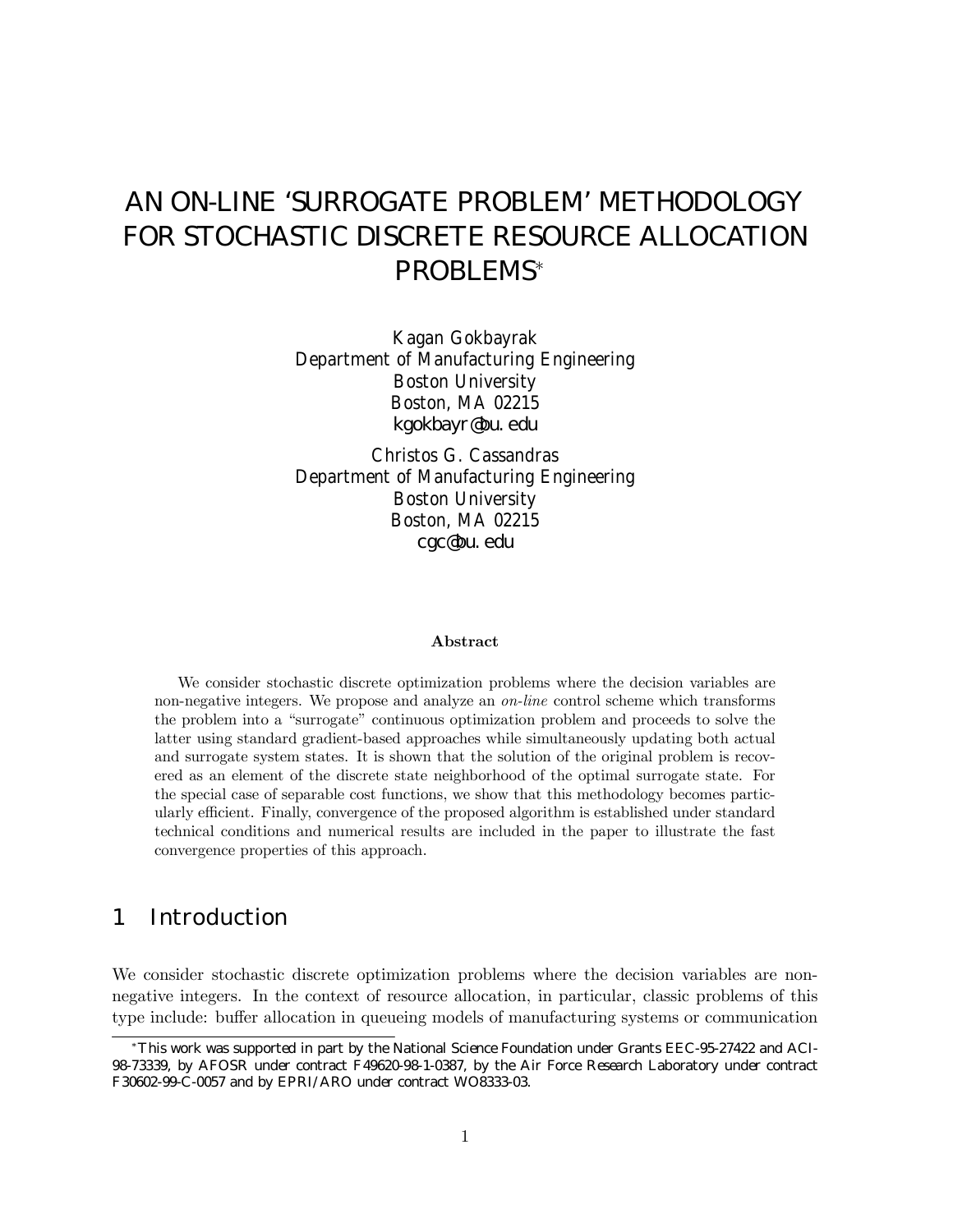# AN ON-LINE 'SURROGATE PROBLEM' METHODOLOGY FOR STOCHASTIC DISCRETE RESOURCE ALLOCATION PROBLEMS<sup>∗</sup>

Kagan Gokbayrak Department of Manufacturing Engineering Boston University Boston, MA 02215 kgokbayr@bu.edu

Christos G. Cassandras Department of Manufacturing Engineering Boston University Boston, MA 02215 cgc@bu.edu

#### Abstract

We consider stochastic discrete optimization problems where the decision variables are non-negative integers. We propose and analyze an on-line control scheme which transforms the problem into a "surrogate" continuous optimization problem and proceeds to solve the latter using standard gradient-based approaches while simultaneously updating both actual and surrogate system states. It is shown that the solution of the original problem is recovered as an element of the discrete state neighborhood of the optimal surrogate state. For the special case of separable cost functions, we show that this methodology becomes particularly efficient. Finally, convergence of the proposed algorithm is established under standard technical conditions and numerical results are included in the paper to illustrate the fast convergence properties of this approach.

# 1 Introduction

We consider stochastic discrete optimization problems where the decision variables are nonnegative integers. In the context of resource allocation, in particular, classic problems of this type include: buffer allocation in queueing models of manufacturing systems or communication

<sup>∗</sup>This work was supported in part by the National Science Foundation under Grants EEC-95-27422 and ACI-98-73339, by AFOSR under contract F49620-98-1-0387, by the Air Force Research Laboratory under contract F30602-99-C-0057 and by EPRI/ARO under contract WO8333-03.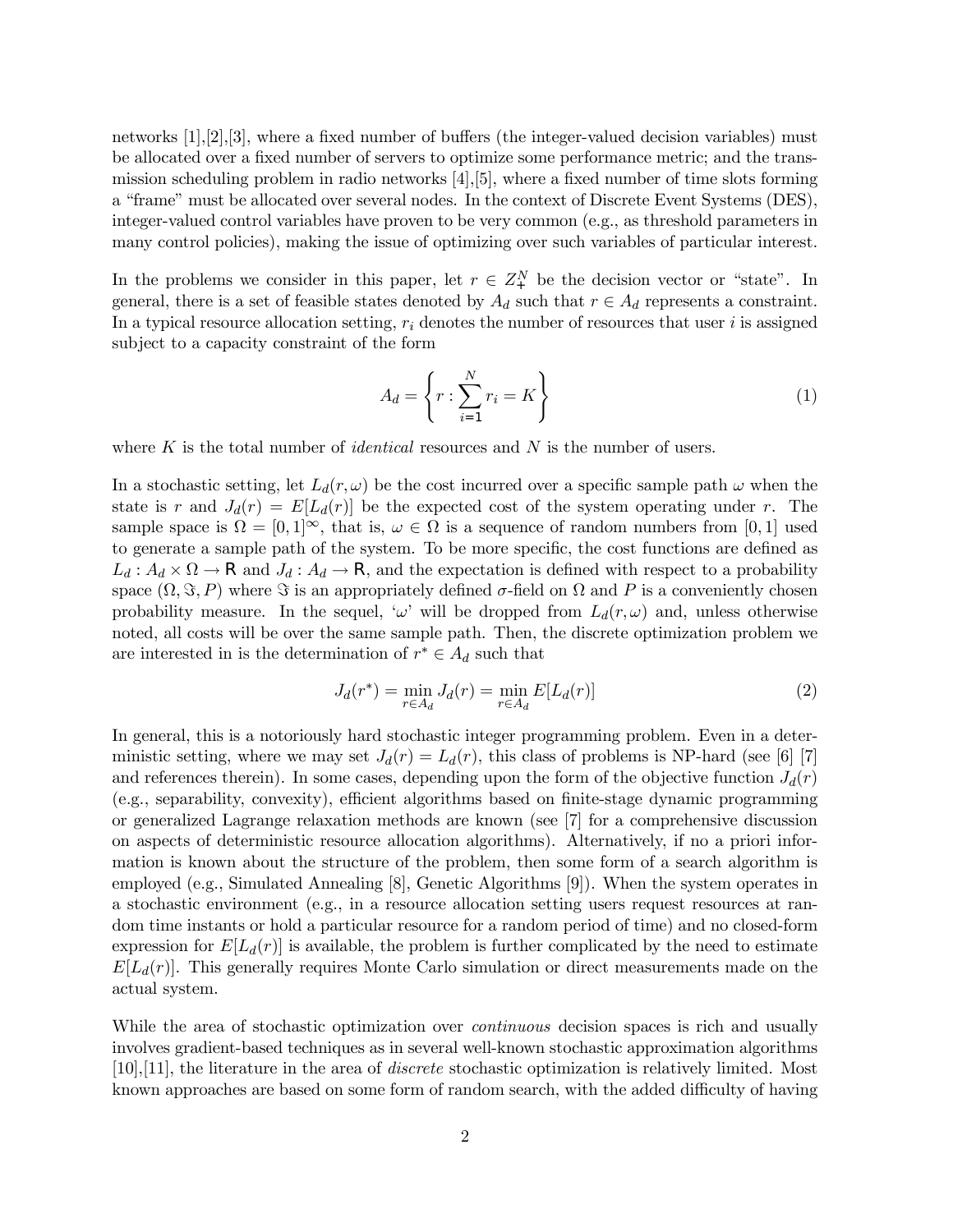networks [1],[2],[3], where a fixed number of buffers (the integer-valued decision variables) must be allocated over a fixed number of servers to optimize some performance metric; and the transmission scheduling problem in radio networks [4],[5], where a fixed number of time slots forming a "frame" must be allocated over several nodes. In the context of Discrete Event Systems (DES), integer-valued control variables have proven to be very common (e.g., as threshold parameters in many control policies), making the issue of optimizing over such variables of particular interest.

In the problems we consider in this paper, let  $r \in Z_+^N$  be the decision vector or "state". In general, there is a set of feasible states denoted by  $A_d$  such that  $r \in A_d$  represents a constraint. In a typical resource allocation setting,  $r_i$  denotes the number of resources that user i is assigned subject to a capacity constraint of the form

$$
A_d = \left\{ r : \sum_{i=1}^{N} r_i = K \right\} \tag{1}
$$

where  $K$  is the total number of *identical* resources and  $N$  is the number of users.

In a stochastic setting, let  $L_d(r, \omega)$  be the cost incurred over a specific sample path  $\omega$  when the state is r and  $J_d(r) = E[L_d(r)]$  be the expected cost of the system operating under r. The sample space is  $\Omega = [0, 1]^\infty$ , that is,  $\omega \in \Omega$  is a sequence of random numbers from  $[0, 1]$  used to generate a sample path of the system. To be more specific, the cost functions are defined as  $L_d: A_d \times \Omega \to \mathsf{R}$  and  $J_d: A_d \to \mathsf{R}$ , and the expectation is defined with respect to a probability space  $(\Omega, \Im, P)$  where  $\Im$  is an appropriately defined  $\sigma$ -field on  $\Omega$  and P is a conveniently chosen probability measure. In the sequel, ' $\omega$ ' will be dropped from  $L_d(r,\omega)$  and, unless otherwise noted, all costs will be over the same sample path. Then, the discrete optimization problem we are interested in is the determination of  $r^* \in A_d$  such that

$$
J_d(r^*) = \min_{r \in A_d} J_d(r) = \min_{r \in A_d} E[L_d(r)]
$$
 (2)

In general, this is a notoriously hard stochastic integer programming problem. Even in a deterministic setting, where we may set  $J_d(r) = L_d(r)$ , this class of problems is NP-hard (see [6] [7] and references therein). In some cases, depending upon the form of the objective function  $J_d(r)$ (e.g., separability, convexity), efficient algorithms based on finite-stage dynamic programming or generalized Lagrange relaxation methods are known (see [7] for a comprehensive discussion on aspects of deterministic resource allocation algorithms). Alternatively, if no a priori information is known about the structure of the problem, then some form of a search algorithm is employed (e.g., Simulated Annealing [8], Genetic Algorithms [9]). When the system operates in a stochastic environment (e.g., in a resource allocation setting users request resources at random time instants or hold a particular resource for a random period of time) and no closed-form expression for  $E[L_d(r)]$  is available, the problem is further complicated by the need to estimate  $E[L_d(r)]$ . This generally requires Monte Carlo simulation or direct measurements made on the actual system.

While the area of stochastic optimization over *continuous* decision spaces is rich and usually involves gradient-based techniques as in several well-known stochastic approximation algorithms [10],[11], the literature in the area of discrete stochastic optimization is relatively limited. Most known approaches are based on some form of random search, with the added difficulty of having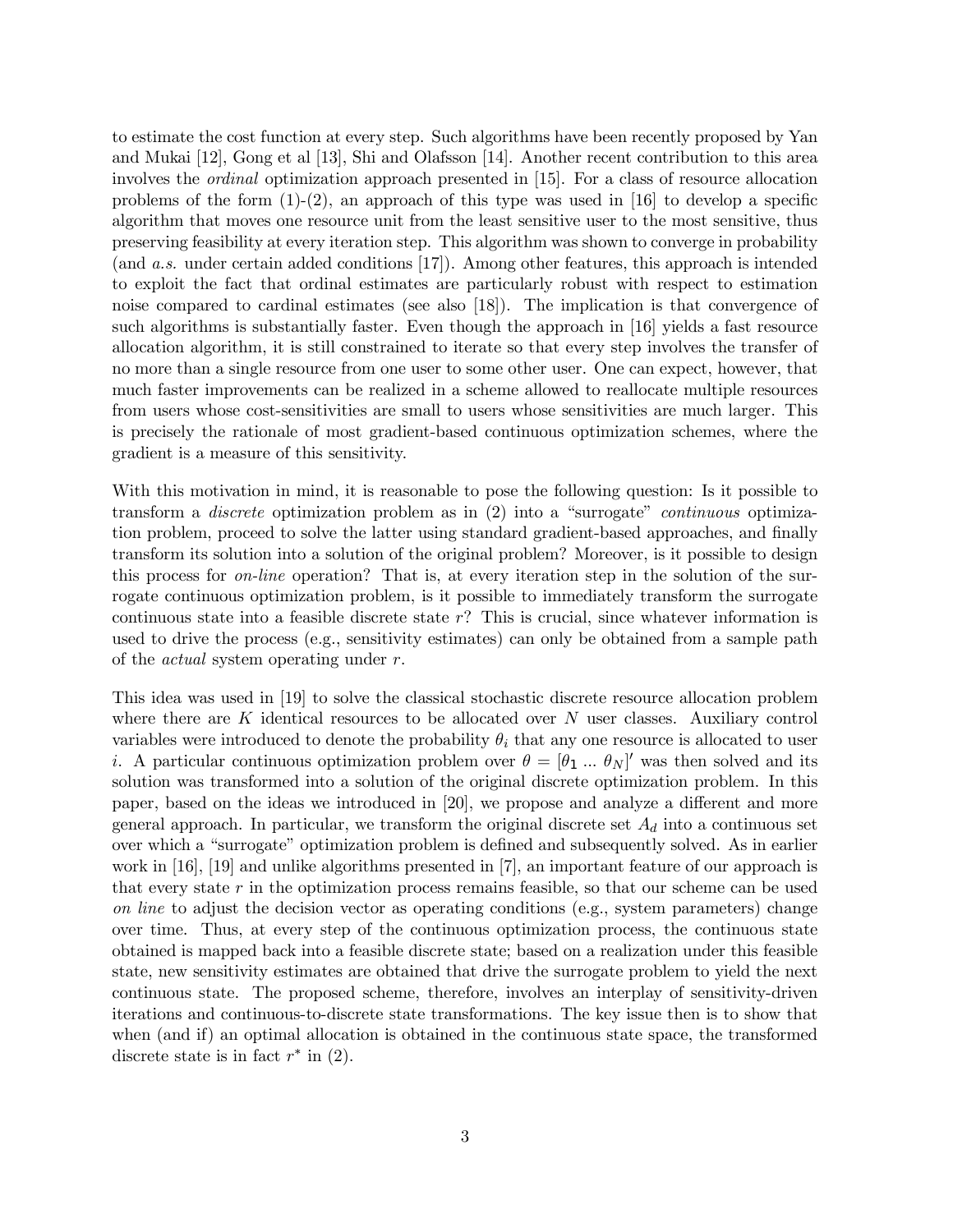to estimate the cost function at every step. Such algorithms have been recently proposed by Yan and Mukai [12], Gong et al [13], Shi and Olafsson [14]. Another recent contribution to this area involves the ordinal optimization approach presented in [15]. For a class of resource allocation problems of the form  $(1)-(2)$ , an approach of this type was used in [16] to develop a specific algorithm that moves one resource unit from the least sensitive user to the most sensitive, thus preserving feasibility at every iteration step. This algorithm was shown to converge in probability (and a.s. under certain added conditions [17]). Among other features, this approach is intended to exploit the fact that ordinal estimates are particularly robust with respect to estimation noise compared to cardinal estimates (see also [18]). The implication is that convergence of such algorithms is substantially faster. Even though the approach in [16] yields a fast resource allocation algorithm, it is still constrained to iterate so that every step involves the transfer of no more than a single resource from one user to some other user. One can expect, however, that much faster improvements can be realized in a scheme allowed to reallocate multiple resources from users whose cost-sensitivities are small to users whose sensitivities are much larger. This is precisely the rationale of most gradient-based continuous optimization schemes, where the gradient is a measure of this sensitivity.

With this motivation in mind, it is reasonable to pose the following question: Is it possible to transform a discrete optimization problem as in (2) into a "surrogate" continuous optimization problem, proceed to solve the latter using standard gradient-based approaches, and finally transform its solution into a solution of the original problem? Moreover, is it possible to design this process for on-line operation? That is, at every iteration step in the solution of the surrogate continuous optimization problem, is it possible to immediately transform the surrogate continuous state into a feasible discrete state  $r$ ? This is crucial, since whatever information is used to drive the process (e.g., sensitivity estimates) can only be obtained from a sample path of the actual system operating under r.

This idea was used in [19] to solve the classical stochastic discrete resource allocation problem where there are  $K$  identical resources to be allocated over  $N$  user classes. Auxiliary control variables were introduced to denote the probability  $\theta_i$  that any one resource is allocated to user *i*. A particular continuous optimization problem over  $\theta = [\theta_1 \dots \theta_N]'$  was then solved and its solution was transformed into a solution of the original discrete optimization problem. In this paper, based on the ideas we introduced in [20], we propose and analyze a different and more general approach. In particular, we transform the original discrete set  $A_d$  into a continuous set over which a "surrogate" optimization problem is defined and subsequently solved. As in earlier work in [16], [19] and unlike algorithms presented in [7], an important feature of our approach is that every state  $r$  in the optimization process remains feasible, so that our scheme can be used on line to adjust the decision vector as operating conditions (e.g., system parameters) change over time. Thus, at every step of the continuous optimization process, the continuous state obtained is mapped back into a feasible discrete state; based on a realization under this feasible state, new sensitivity estimates are obtained that drive the surrogate problem to yield the next continuous state. The proposed scheme, therefore, involves an interplay of sensitivity-driven iterations and continuous-to-discrete state transformations. The key issue then is to show that when (and if) an optimal allocation is obtained in the continuous state space, the transformed discrete state is in fact  $r^*$  in (2).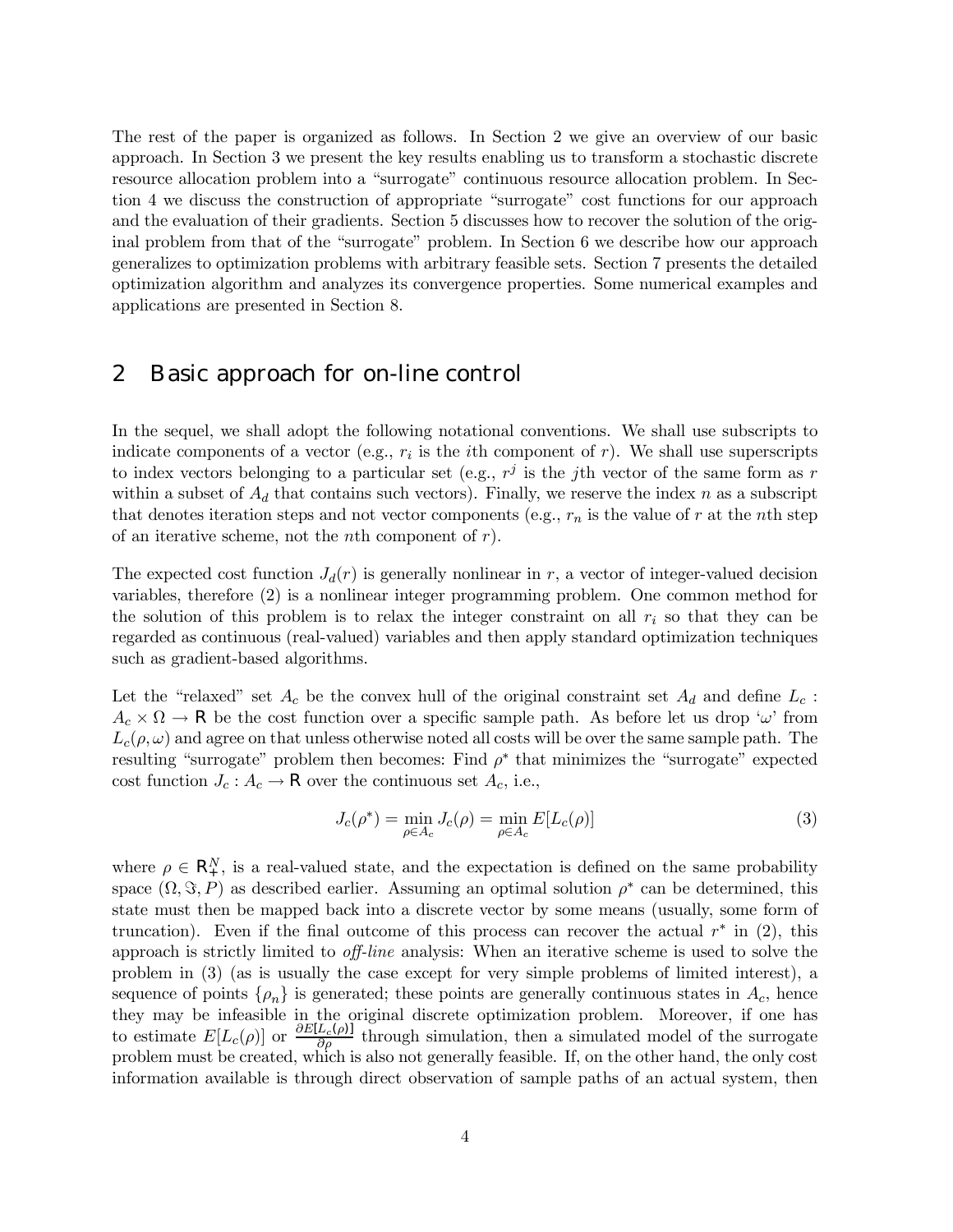The rest of the paper is organized as follows. In Section 2 we give an overview of our basic approach. In Section 3 we present the key results enabling us to transform a stochastic discrete resource allocation problem into a "surrogate" continuous resource allocation problem. In Section 4 we discuss the construction of appropriate "surrogate" cost functions for our approach and the evaluation of their gradients. Section 5 discusses how to recover the solution of the original problem from that of the "surrogate" problem. In Section 6 we describe how our approach generalizes to optimization problems with arbitrary feasible sets. Section 7 presents the detailed optimization algorithm and analyzes its convergence properties. Some numerical examples and applications are presented in Section 8.

## 2 Basic approach for on-line control

In the sequel, we shall adopt the following notational conventions. We shall use subscripts to indicate components of a vector (e.g.,  $r_i$  is the *i*th component of r). We shall use superscripts to index vectors belonging to a particular set (e.g.,  $r<sup>j</sup>$  is the jth vector of the same form as r within a subset of  $A_d$  that contains such vectors). Finally, we reserve the index n as a subscript that denotes iteration steps and not vector components (e.g.,  $r_n$  is the value of r at the nth step of an iterative scheme, not the *n*th component of  $r$ ).

The expected cost function  $J_d(r)$  is generally nonlinear in r, a vector of integer-valued decision variables, therefore (2) is a nonlinear integer programming problem. One common method for the solution of this problem is to relax the integer constraint on all  $r_i$  so that they can be regarded as continuous (real-valued) variables and then apply standard optimization techniques such as gradient-based algorithms.

Let the "relaxed" set  $A_c$  be the convex hull of the original constraint set  $A_d$  and define  $L_c$ :  $A_c \times \Omega \to \mathsf{R}$  be the cost function over a specific sample path. As before let us drop ' $\omega$ ' from  $L_c(\rho,\omega)$  and agree on that unless otherwise noted all costs will be over the same sample path. The resulting "surrogate" problem then becomes: Find  $\rho^*$  that minimizes the "surrogate" expected cost function  $J_c: A_c \to \mathsf{R}$  over the continuous set  $A_c$ , i.e.,

$$
J_c(\rho^*) = \min_{\rho \in A_c} J_c(\rho) = \min_{\rho \in A_c} E[L_c(\rho)] \tag{3}
$$

where  $\rho \in \mathsf{R}_{+}^{N}$ , is a real-valued state, and the expectation is defined on the same probability space  $(\Omega, \Im, P)$  as described earlier. Assuming an optimal solution  $\rho^*$  can be determined, this state must then be mapped back into a discrete vector by some means (usually, some form of truncation). Even if the final outcome of this process can recover the actual  $r^*$  in (2), this approach is strictly limited to off-line analysis: When an iterative scheme is used to solve the problem in (3) (as is usually the case except for very simple problems of limited interest), a sequence of points  $\{\rho_n\}$  is generated; these points are generally continuous states in  $A_c$ , hence they may be infeasible in the original discrete optimization problem. Moreover, if one has to estimate  $E[L_c(\rho)]$  or  $\frac{\partial E[L_c(\rho)]}{\partial \rho}$  through simulation, then a simulated model of the surrogate problem must be created, which is also not generally feasible. If, on the other hand, the only cost information available is through direct observation of sample paths of an actual system, then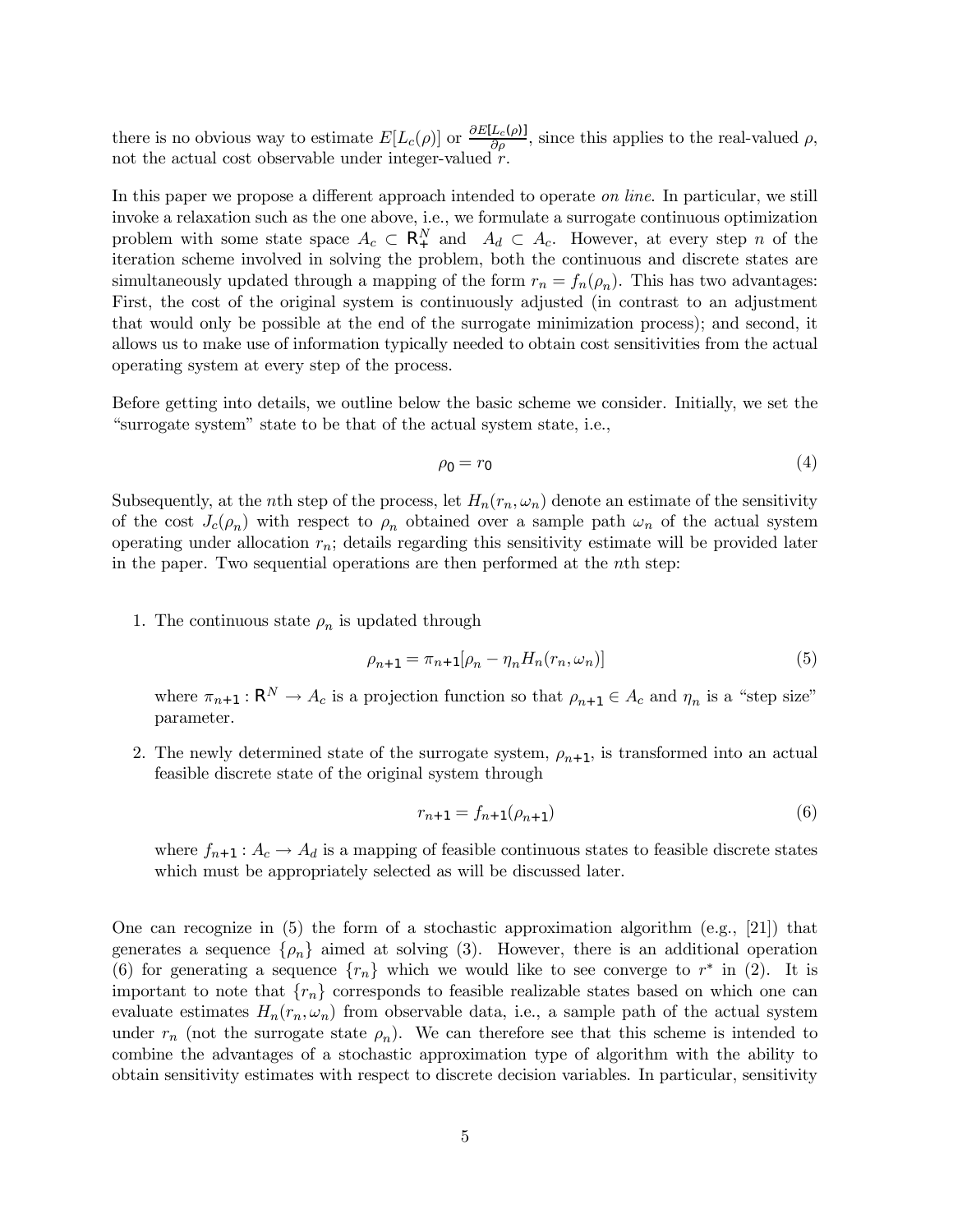there is no obvious way to estimate  $E[L_c(\rho)]$  or  $\frac{\partial E[L_c(\rho)]}{\partial \rho}$ , since this applies to the real-valued  $\rho$ , not the actual cost observable under integer-valued  $r$ .

In this paper we propose a different approach intended to operate *on line*. In particular, we still invoke a relaxation such as the one above, i.e., we formulate a surrogate continuous optimization problem with some state space  $A_c \subset \mathbb{R}^N_+$  and  $A_d \subset A_c$ . However, at every step n of the iteration scheme involved in solving the problem, both the continuous and discrete states are simultaneously updated through a mapping of the form  $r_n = f_n(\rho_n)$ . This has two advantages: First, the cost of the original system is continuously adjusted (in contrast to an adjustment that would only be possible at the end of the surrogate minimization process); and second, it allows us to make use of information typically needed to obtain cost sensitivities from the actual operating system at every step of the process.

Before getting into details, we outline below the basic scheme we consider. Initially, we set the "surrogate system" state to be that of the actual system state, i.e.,

$$
\rho_0 = r_0 \tag{4}
$$

Subsequently, at the nth step of the process, let  $H_n(r_n, \omega_n)$  denote an estimate of the sensitivity of the cost  $J_c(\rho_n)$  with respect to  $\rho_n$  obtained over a sample path  $\omega_n$  of the actual system operating under allocation  $r_n$ ; details regarding this sensitivity estimate will be provided later in the paper. Two sequential operations are then performed at the nth step:

1. The continuous state  $\rho_n$  is updated through

$$
\rho_{n+1} = \pi_{n+1}[\rho_n - \eta_n H_n(r_n, \omega_n)]
$$
\n(5)

where  $\pi_{n+1} : \mathbb{R}^N \to A_c$  is a projection function so that  $\rho_{n+1} \in A_c$  and  $\eta_n$  is a "step size" parameter.

2. The newly determined state of the surrogate system,  $\rho_{n+1}$ , is transformed into an actual feasible discrete state of the original system through

$$
r_{n+1} = f_{n+1}(\rho_{n+1})
$$
\n(6)

where  $f_{n+1}: A_c \to A_d$  is a mapping of feasible continuous states to feasible discrete states which must be appropriately selected as will be discussed later.

One can recognize in  $(5)$  the form of a stochastic approximation algorithm  $(e.g., [21])$  that generates a sequence  $\{\rho_n\}$  aimed at solving (3). However, there is an additional operation (6) for generating a sequence  $\{r_n\}$  which we would like to see converge to  $r^*$  in (2). It is important to note that  ${r_n}$  corresponds to feasible realizable states based on which one can evaluate estimates  $H_n(r_n,\omega_n)$  from observable data, i.e., a sample path of the actual system under  $r_n$  (not the surrogate state  $\rho_n$ ). We can therefore see that this scheme is intended to combine the advantages of a stochastic approximation type of algorithm with the ability to obtain sensitivity estimates with respect to discrete decision variables. In particular, sensitivity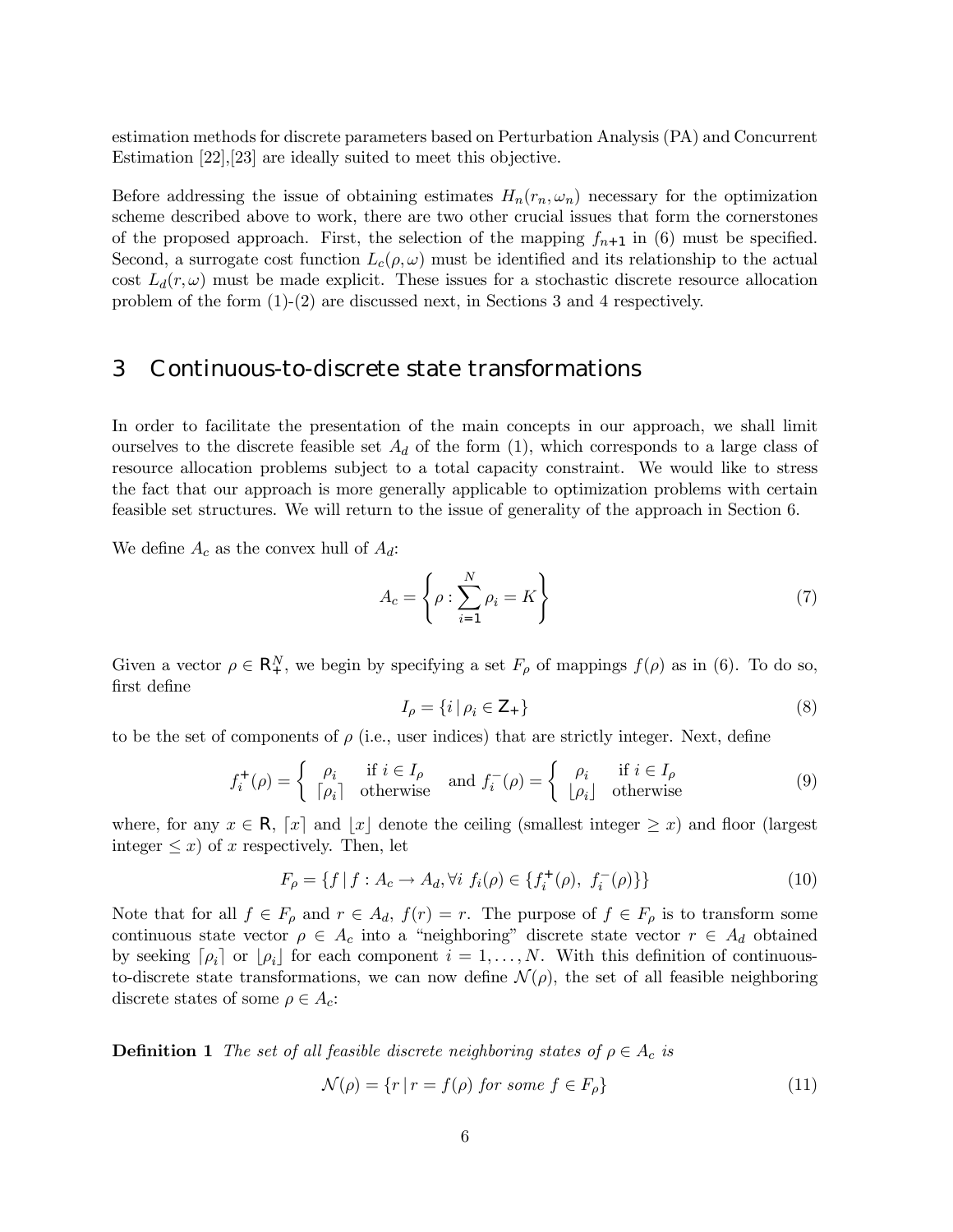estimation methods for discrete parameters based on Perturbation Analysis (PA) and Concurrent Estimation [22],[23] are ideally suited to meet this objective.

Before addressing the issue of obtaining estimates  $H_n(r_n,\omega_n)$  necessary for the optimization scheme described above to work, there are two other crucial issues that form the cornerstones of the proposed approach. First, the selection of the mapping  $f_{n+1}$  in (6) must be specified. Second, a surrogate cost function  $L_c(\rho,\omega)$  must be identified and its relationship to the actual cost  $L_d(r,\omega)$  must be made explicit. These issues for a stochastic discrete resource allocation problem of the form (1)-(2) are discussed next, in Sections 3 and 4 respectively.

# 3 Continuous-to-discrete state transformations

In order to facilitate the presentation of the main concepts in our approach, we shall limit ourselves to the discrete feasible set  $A_d$  of the form (1), which corresponds to a large class of resource allocation problems subject to a total capacity constraint. We would like to stress the fact that our approach is more generally applicable to optimization problems with certain feasible set structures. We will return to the issue of generality of the approach in Section 6.

We define  $A_c$  as the convex hull of  $A_d$ :

$$
A_c = \left\{ \rho : \sum_{i=1}^{N} \rho_i = K \right\} \tag{7}
$$

Given a vector  $\rho \in \mathsf{R}_{+}^{N}$ , we begin by specifying a set  $F_{\rho}$  of mappings  $f(\rho)$  as in (6). To do so, first define

$$
I_{\rho} = \{ i \mid \rho_i \in \mathsf{Z}_+ \} \tag{8}
$$

to be the set of components of  $\rho$  (i.e., user indices) that are strictly integer. Next, define

$$
f_i^+(\rho) = \begin{cases} \rho_i & \text{if } i \in I_\rho \\ \lceil \rho_i \rceil & \text{otherwise} \end{cases} \text{ and } f_i^-(\rho) = \begin{cases} \rho_i & \text{if } i \in I_\rho \\ \lfloor \rho_i \rfloor & \text{otherwise} \end{cases}
$$
 (9)

where, for any  $x \in \mathsf{R}$ ,  $[x]$  and  $[x]$  denote the ceiling (smallest integer  $\geq x$ ) and floor (largest integer  $\leq x$ ) of x respectively. Then, let

$$
F_{\rho} = \{ f | f : A_c \to A_d, \forall i \ f_i(\rho) \in \{ f_i^+(\rho), \ f_i^-(\rho) \} \}
$$
(10)

Note that for all  $f \in F_\rho$  and  $r \in A_d$ ,  $f(r) = r$ . The purpose of  $f \in F_\rho$  is to transform some continuous state vector  $\rho \in A_c$  into a "neighboring" discrete state vector  $r \in A_d$  obtained by seeking  $\lceil \rho_i \rceil$  or  $\lfloor \rho_i \rfloor$  for each component  $i = 1, \ldots, N$ . With this definition of continuousto-discrete state transformations, we can now define  $\mathcal{N}(\rho)$ , the set of all feasible neighboring discrete states of some  $\rho \in A_c$ :

**Definition 1** The set of all feasible discrete neighboring states of  $\rho \in A_c$  is

$$
\mathcal{N}(\rho) = \{r \mid r = f(\rho) \text{ for some } f \in F_{\rho}\}\tag{11}
$$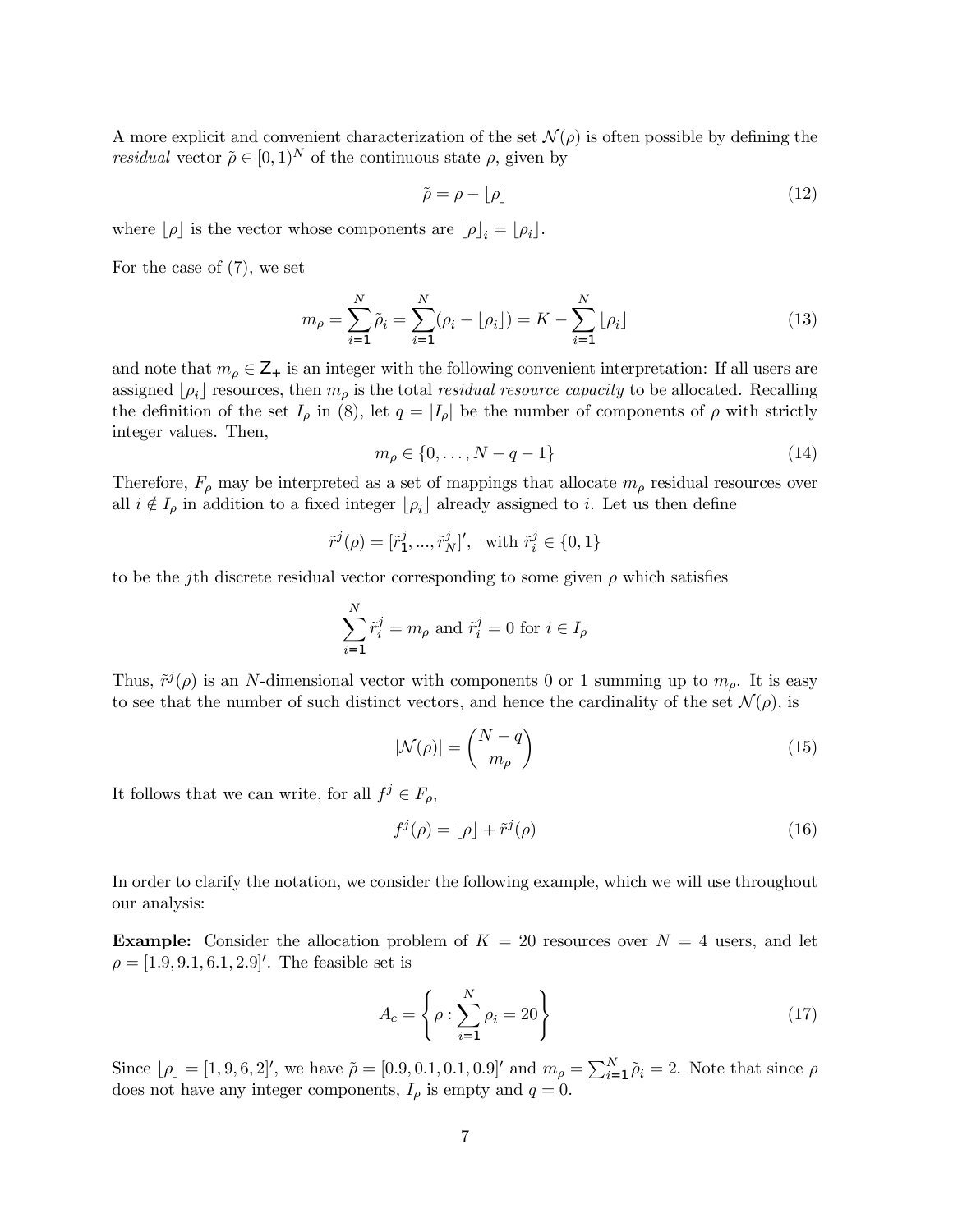A more explicit and convenient characterization of the set  $\mathcal{N}(\rho)$  is often possible by defining the *residual* vector  $\tilde{\rho} \in [0, 1)^N$  of the continuous state  $\rho$ , given by

$$
\tilde{\rho} = \rho - \lfloor \rho \rfloor \tag{12}
$$

where  $[\rho]$  is the vector whose components are  $[\rho]_i = [\rho_i]$ .

For the case of (7), we set

$$
m_{\rho} = \sum_{i=1}^{N} \tilde{\rho}_i = \sum_{i=1}^{N} (\rho_i - \lfloor \rho_i \rfloor) = K - \sum_{i=1}^{N} \lfloor \rho_i \rfloor
$$
\n(13)

and note that  $m_{\rho} \in \mathbb{Z}_+$  is an integer with the following convenient interpretation: If all users are assigned  $[\rho_i]$  resources, then  $m_\rho$  is the total residual resource capacity to be allocated. Recalling the definition of the set  $I_\rho$  in (8), let  $q = |I_\rho|$  be the number of components of  $\rho$  with strictly integer values. Then,

$$
m_{\rho} \in \{0, \ldots, N - q - 1\} \tag{14}
$$

Therefore,  $F_{\rho}$  may be interpreted as a set of mappings that allocate  $m_{\rho}$  residual resources over all  $i \notin I_\rho$  in addition to a fixed integer  $\lfloor \rho_i \rfloor$  already assigned to i. Let us then define

$$
\tilde{r}^{j}(\rho) = [\tilde{r}_{1}^{j}, ..., \tilde{r}_{N}^{j}]', \text{ with } \tilde{r}_{i}^{j} \in \{0, 1\}
$$

to be the jth discrete residual vector corresponding to some given  $\rho$  which satisfies

$$
\sum_{i=1}^N \tilde{r}_i^j = m_\rho \text{ and } \tilde{r}_i^j = 0 \text{ for } i \in I_\rho
$$

Thus,  $\tilde{r}^{j}(\rho)$  is an N-dimensional vector with components 0 or 1 summing up to  $m_{\rho}$ . It is easy to see that the number of such distinct vectors, and hence the cardinality of the set  $\mathcal{N}(\rho)$ , is

$$
|\mathcal{N}(\rho)| = \binom{N-q}{m_{\rho}}\tag{15}
$$

It follows that we can write, for all  $f^j \in F_\rho$ ,

$$
f^j(\rho) = \lfloor \rho \rfloor + \tilde{r}^j(\rho) \tag{16}
$$

In order to clarify the notation, we consider the following example, which we will use throughout our analysis:

**Example:** Consider the allocation problem of  $K = 20$  resources over  $N = 4$  users, and let  $\rho = [1.9, 9.1, 6.1, 2.9]'$ . The feasible set is

$$
A_c = \left\{ \rho : \sum_{i=1}^{N} \rho_i = 20 \right\} \tag{17}
$$

Since  $[\rho] = [1, 9, 6, 2]$ ', we have  $\tilde{\rho} = [0.9, 0.1, 0.1, 0.9]$ ' and  $m_{\rho} = \sum_{i=1}^{N} \tilde{\rho}_i = 2$ . Note that since  $\rho$ does not have any integer components,  $I_{\rho}$  is empty and  $q = 0$ .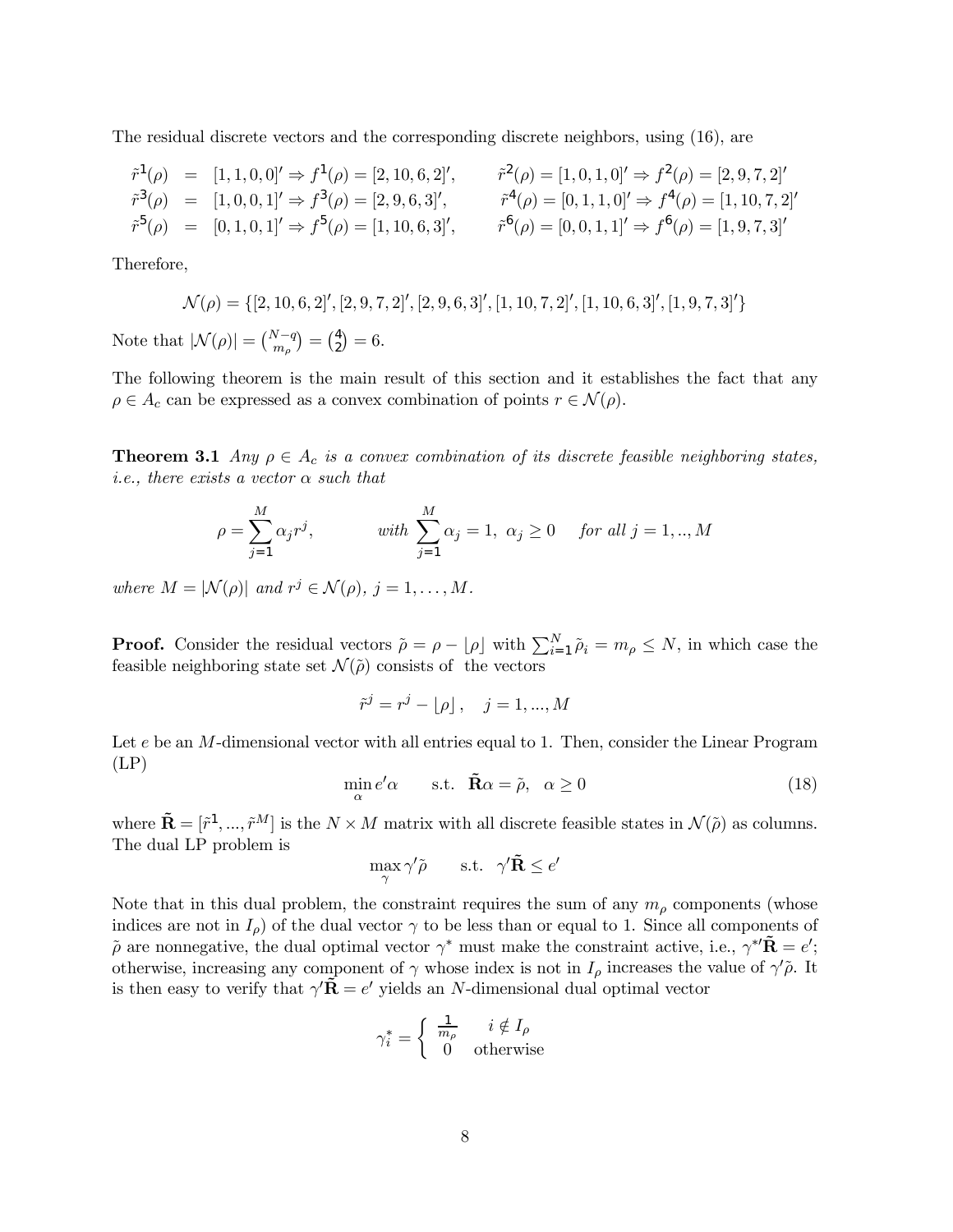The residual discrete vectors and the corresponding discrete neighbors, using (16), are

$$
\begin{aligned}\n\tilde{r}^1(\rho) &= [1, 1, 0, 0] \Rightarrow f^1(\rho) = [2, 10, 6, 2] \,, & \tilde{r}^2(\rho) = [1, 0, 1, 0] \Rightarrow f^2(\rho) = [2, 9, 7, 2] \,, \\
\tilde{r}^3(\rho) &= [1, 0, 0, 1] \Rightarrow f^3(\rho) = [2, 9, 6, 3] \,, & \tilde{r}^4(\rho) = [0, 1, 1, 0] \Rightarrow f^4(\rho) = [1, 10, 7, 2] \,, \\
\tilde{r}^5(\rho) &= [0, 1, 0, 1] \Rightarrow f^5(\rho) = [1, 10, 6, 3] \,, & \tilde{r}^6(\rho) = [0, 0, 1, 1] \Rightarrow f^6(\rho) = [1, 9, 7, 3] \,.\n\end{aligned}
$$

Therefore,

$$
\mathcal{N}(\rho) = \{ [2, 10, 6, 2]', [2, 9, 7, 2]', [2, 9, 6, 3]', [1, 10, 7, 2]', [1, 10, 6, 3]', [1, 9, 7, 3]'\}
$$
  
Note that  $|\mathcal{N}(\rho)| = {N-q \choose m_\rho} = {4 \choose 2} = 6.$ 

The following theorem is the main result of this section and it establishes the fact that any  $\rho \in A_c$  can be expressed as a convex combination of points  $r \in \mathcal{N}(\rho)$ .

**Theorem 3.1** Any  $\rho \in A_c$  is a convex combination of its discrete feasible neighboring states, i.e., there exists a vector  $\alpha$  such that

$$
\rho = \sum_{j=1}^{M} \alpha_j r^j, \qquad \text{with } \sum_{j=1}^{M} \alpha_j = 1, \ \alpha_j \ge 0 \quad \text{for all } j = 1,..,M
$$

where  $M = |\mathcal{N}(\rho)|$  and  $r^j \in \mathcal{N}(\rho)$ ,  $j = 1, ..., M$ .

**Proof.** Consider the residual vectors  $\tilde{\rho} = \rho - \lfloor \rho \rfloor$  with  $\sum_{i=1}^{N} \tilde{\rho}_i = m_\rho \leq N$ , in which case the feasible neighboring state set  $\mathcal{N}(\tilde{\rho})$  consists of the vectors

$$
\tilde{r}^j = r^j - \lfloor \rho \rfloor, \quad j = 1, ..., M
$$

Let e be an M-dimensional vector with all entries equal to 1. Then, consider the Linear Program  $(LP)$ 

$$
\min_{\alpha} e' \alpha \qquad \text{s.t.} \quad \tilde{\mathbf{R}} \alpha = \tilde{\rho}, \quad \alpha \ge 0 \tag{18}
$$

where  $\tilde{\mathbf{R}} = [\tilde{r}^1, ..., \tilde{r}^M]$  is the  $N \times M$  matrix with all discrete feasible states in  $\mathcal{N}(\tilde{\rho})$  as columns. The dual LP problem is

$$
\max_{\gamma} \gamma' \tilde{\rho} \qquad \text{s.t.} \quad \gamma' \tilde{\mathbf{R}} \le e'
$$

Note that in this dual problem, the constraint requires the sum of any  $m<sub>\rho</sub>$  components (whose indices are not in  $I_{\rho}$ ) of the dual vector  $\gamma$  to be less than or equal to 1. Since all components of  $\tilde{\rho}$  are nonnegative, the dual optimal vector  $\gamma^*$  must make the constraint active, i.e.,  $\gamma^{*t}\tilde{\mathbf{R}} = e'$ ; otherwise, increasing any component of  $\gamma$  whose index is not in  $I_{\rho}$  increases the value of  $\gamma'\tilde{\rho}$ . It is then easy to verify that  $\gamma' \tilde{\mathbf{R}} = e'$  yields an N-dimensional dual optimal vector

$$
\gamma_i^* = \begin{cases} \frac{1}{m_\rho} & i \notin I_\rho \\ 0 & \text{otherwise} \end{cases}
$$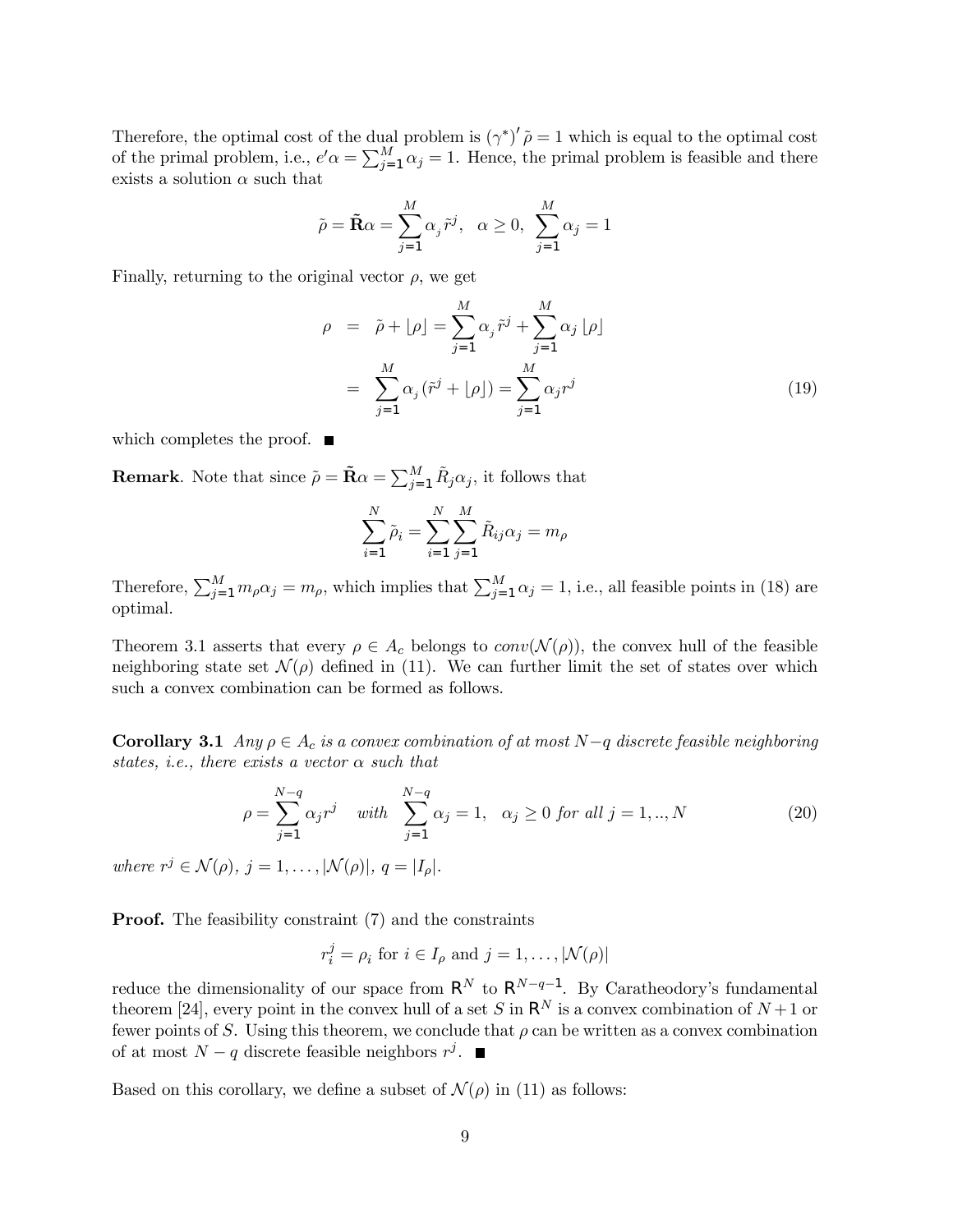Therefore, the optimal cost of the dual problem is  $(\gamma^*)' \tilde{\rho} = 1$  which is equal to the optimal cost of the primal problem, i.e.,  $e' \alpha = \sum_{j=1}^{M} \alpha_j = 1$ . Hence, the primal problem is feasible and there exists a solution  $\alpha$  such that

$$
\tilde{\rho} = \tilde{\mathbf{R}}\alpha = \sum_{j=1}^{M} \alpha_j \tilde{r}^j, \ \ \alpha \ge 0, \ \ \sum_{j=1}^{M} \alpha_j = 1
$$

Finally, returning to the original vector  $\rho$ , we get

$$
\rho = \tilde{\rho} + \lfloor \rho \rfloor = \sum_{j=1}^{M} \alpha_j \tilde{r}^j + \sum_{j=1}^{M} \alpha_j \lfloor \rho \rfloor
$$

$$
= \sum_{j=1}^{M} \alpha_j (\tilde{r}^j + \lfloor \rho \rfloor) = \sum_{j=1}^{M} \alpha_j r^j
$$
(19)

which completes the proof.  $\blacksquare$ 

**Remark**. Note that since  $\tilde{\rho} = \tilde{\mathbf{R}}\alpha = \sum_{j=1}^{M} \tilde{R}_j \alpha_j$ , it follows that

$$
\sum_{i=1}^{N} \tilde{\rho}_i = \sum_{i=1}^{N} \sum_{j=1}^{M} \tilde{R}_{ij} \alpha_j = m_{\rho}
$$

Therefore,  $\sum_{j=1}^{M} m_{\rho} \alpha_j = m_{\rho}$ , which implies that  $\sum_{j=1}^{M} \alpha_j = 1$ , i.e., all feasible points in (18) are optimal.

Theorem 3.1 asserts that every  $\rho \in A_c$  belongs to  $conv(\mathcal{N}(\rho))$ , the convex hull of the feasible neighboring state set  $\mathcal{N}(\rho)$  defined in (11). We can further limit the set of states over which such a convex combination can be formed as follows.

**Corollary 3.1** Any  $\rho \in A_c$  is a convex combination of at most N-q discrete feasible neighboring states, i.e., there exists a vector  $\alpha$  such that

$$
\rho = \sum_{j=1}^{N-q} \alpha_j r^j \quad \text{with} \quad \sum_{j=1}^{N-q} \alpha_j = 1, \quad \alpha_j \ge 0 \text{ for all } j = 1, ..., N
$$
\n(20)

where  $r^j \in \mathcal{N}(\rho)$ ,  $j = 1, \ldots, |\mathcal{N}(\rho)|$ ,  $q = |I_{\rho}|$ .

**Proof.** The feasibility constraint (7) and the constraints

$$
r_i^j = \rho_i
$$
 for  $i \in I_\rho$  and  $j = 1, ..., |\mathcal{N}(\rho)|$ 

reduce the dimensionality of our space from  $\mathsf{R}^{N}$  to  $\mathsf{R}^{N-q-1}$ . By Caratheodory's fundamental theorem [24], every point in the convex hull of a set S in  $\mathsf{R}^N$  is a convex combination of  $N+1$  or fewer points of S. Using this theorem, we conclude that  $\rho$  can be written as a convex combination of at most  $N - q$  discrete feasible neighbors  $r^j$ . ■

Based on this corollary, we define a subset of  $\mathcal{N}(\rho)$  in (11) as follows: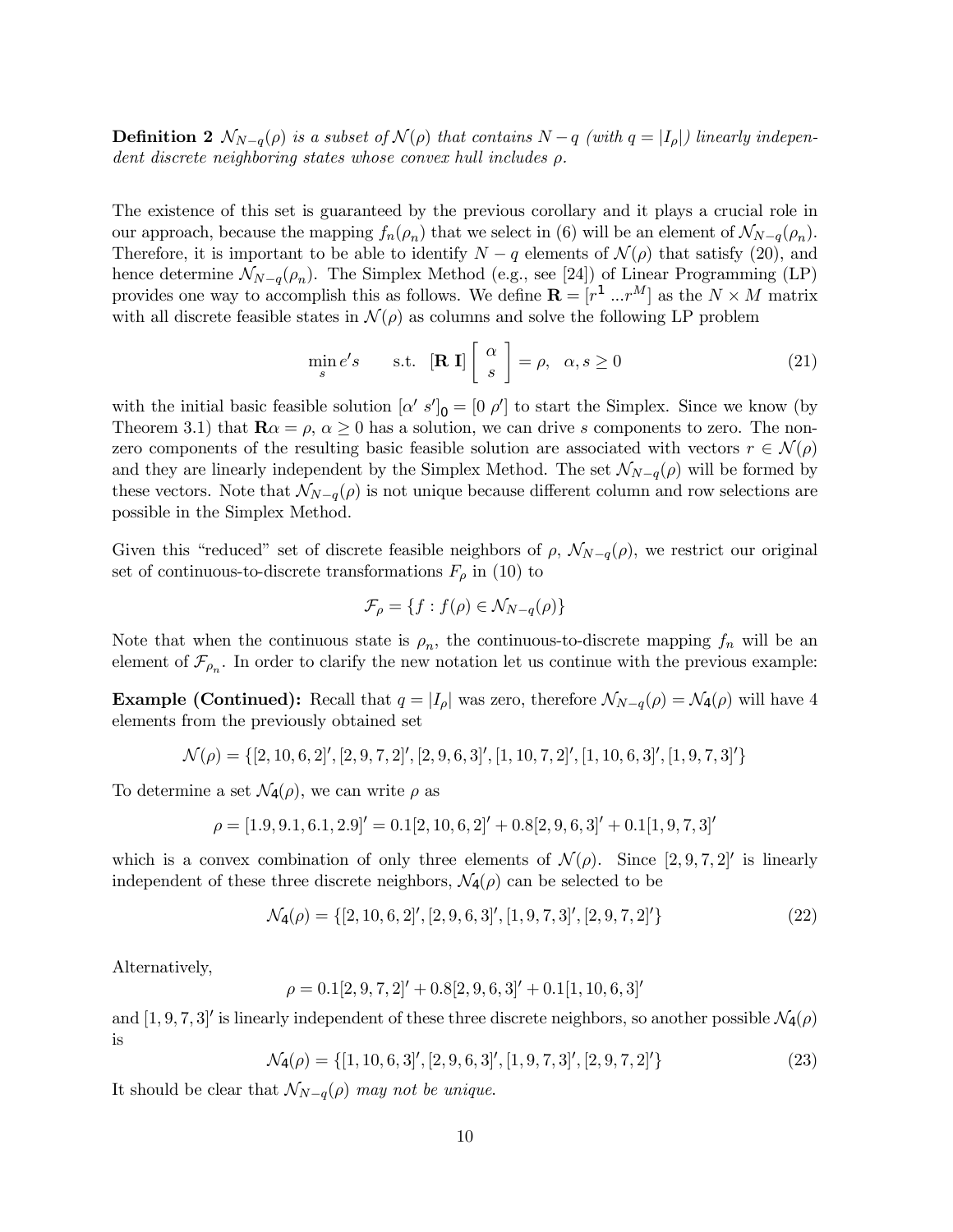**Definition 2**  $\mathcal{N}_{N-q}(\rho)$  is a subset of  $\mathcal{N}(\rho)$  that contains  $N-q$  (with  $q = |I_{\rho}|$ ) linearly independent discrete neighboring states whose convex hull includes ρ.

The existence of this set is guaranteed by the previous corollary and it plays a crucial role in our approach, because the mapping  $f_n(\rho_n)$  that we select in (6) will be an element of  $\mathcal{N}_{N-q}(\rho_n)$ . Therefore, it is important to be able to identify  $N - q$  elements of  $\mathcal{N}(\rho)$  that satisfy (20), and hence determine  $\mathcal{N}_{N-q}(\rho_n)$ . The Simplex Method (e.g., see [24]) of Linear Programming (LP) provides one way to accomplish this as follows. We define  $\mathbf{R} = [r^1 \dots r^M]$  as the  $N \times M$  matrix with all discrete feasible states in  $\mathcal{N}(\rho)$  as columns and solve the following LP problem

$$
\min_{s} e's \qquad \text{s.t.} \quad [\mathbf{R} \; \mathbf{I}] \left[ \begin{array}{c} \alpha \\ s \end{array} \right] = \rho, \quad \alpha, s \ge 0 \tag{21}
$$

with the initial basic feasible solution  $\left[\alpha' s'\right]_0 = \left[\begin{smallmatrix}0 & \rho'\end{smallmatrix}\right]$  to start the Simplex. Since we know (by Theorem 3.1) that  $\mathbf{R}\alpha = \rho, \, \alpha \geq 0$  has a solution, we can drive s components to zero. The nonzero components of the resulting basic feasible solution are associated with vectors  $r \in \mathcal{N}(\rho)$ and they are linearly independent by the Simplex Method. The set  $\mathcal{N}_{N-q}(\rho)$  will be formed by these vectors. Note that  $\mathcal{N}_{N-q}(\rho)$  is not unique because different column and row selections are possible in the Simplex Method.

Given this "reduced" set of discrete feasible neighbors of  $\rho$ ,  $\mathcal{N}_{N-q}(\rho)$ , we restrict our original set of continuous-to-discrete transformations  $F_{\rho}$  in (10) to

$$
\mathcal{F}_{\rho} = \{ f : f(\rho) \in \mathcal{N}_{N-q}(\rho) \}
$$

Note that when the continuous state is  $\rho_n$ , the continuous-to-discrete mapping  $f_n$  will be an element of  $\mathcal{F}_{\rho_n}$ . In order to clarify the new notation let us continue with the previous example:

**Example (Continued):** Recall that  $q = |I_{\rho}|$  was zero, therefore  $\mathcal{N}_{N-q}(\rho) = \mathcal{N}_4(\rho)$  will have 4 elements from the previously obtained set

$$
\mathcal{N}(\rho) = \{ [2, 10, 6, 2]', [2, 9, 7, 2]', [2, 9, 6, 3]', [1, 10, 7, 2]', [1, 10, 6, 3]', [1, 9, 7, 3]'\}
$$

To determine a set  $\mathcal{N}_4(\rho)$ , we can write  $\rho$  as

$$
\rho = [1.9, 9.1, 6.1, 2.9]' = 0.1[2, 10, 6, 2]' + 0.8[2, 9, 6, 3]' + 0.1[1, 9, 7, 3]'
$$

which is a convex combination of only three elements of  $\mathcal{N}(\rho)$ . Since [2, 9, 7, 2]' is linearly independent of these three discrete neighbors,  $\mathcal{N}_4(\rho)$  can be selected to be

$$
\mathcal{N}_4(\rho) = \{ [2, 10, 6, 2]', [2, 9, 6, 3]', [1, 9, 7, 3]', [2, 9, 7, 2]'\}
$$
\n
$$
(22)
$$

Alternatively,

$$
\rho = 0.1[2, 9, 7, 2]' + 0.8[2, 9, 6, 3]' + 0.1[1, 10, 6, 3]'
$$

and  $[1, 9, 7, 3]'$  is linearly independent of these three discrete neighbors, so another possible  $\mathcal{N}_4(\rho)$ is

> $\mathcal{N}_4(\rho) = \{[1, 10, 6, 3]^\prime, [2, 9, 6, 3]^\prime, [1, 9, 7, 3]^\prime, [2, 9, 7, 2]^\prime\}$  $(23)$

It should be clear that  $\mathcal{N}_{N-q}(\rho)$  may not be unique.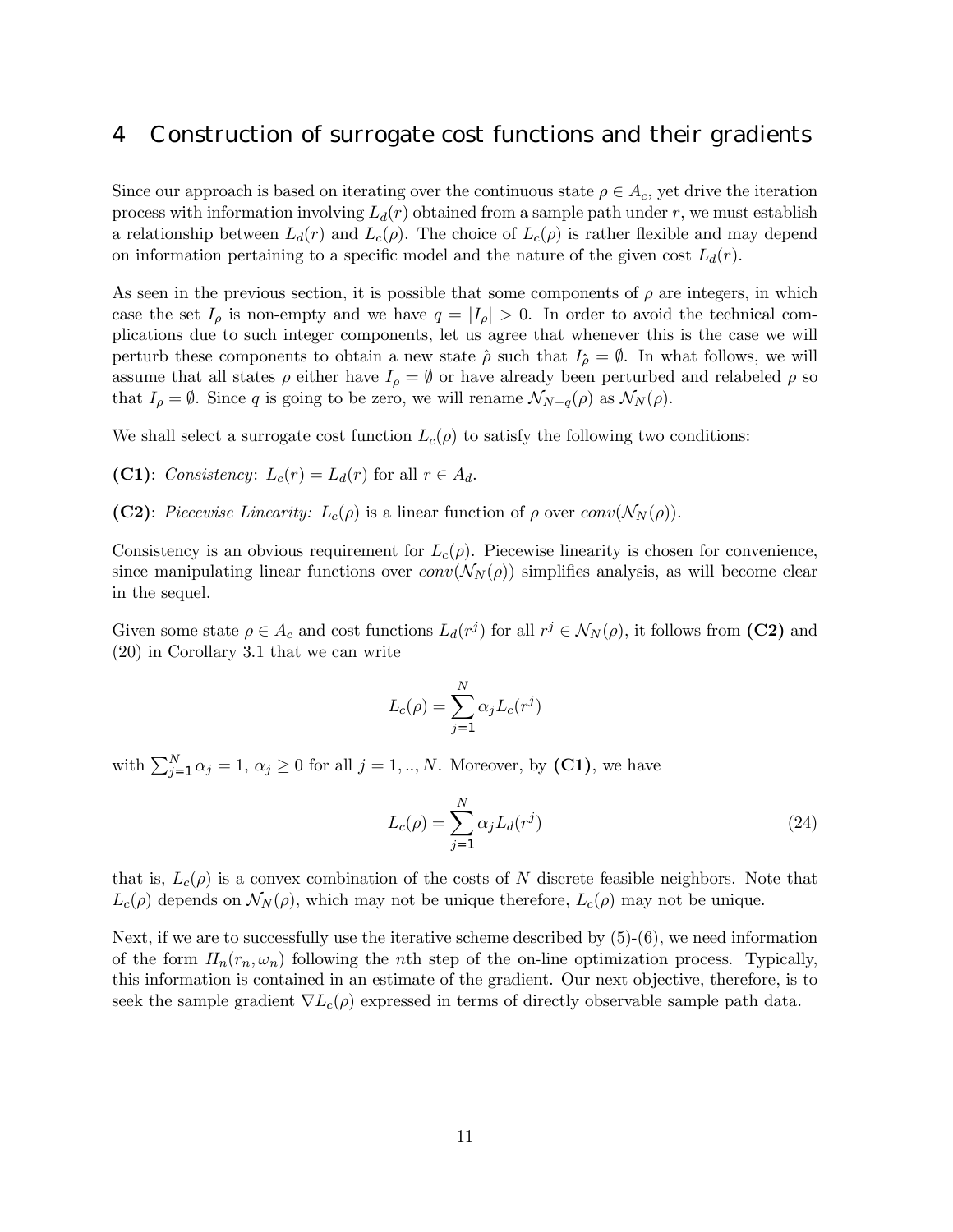## 4 Construction of surrogate cost functions and their gradients

Since our approach is based on iterating over the continuous state  $\rho \in A_c$ , yet drive the iteration process with information involving  $L_d(r)$  obtained from a sample path under r, we must establish a relationship between  $L_d(r)$  and  $L_c(\rho)$ . The choice of  $L_c(\rho)$  is rather flexible and may depend on information pertaining to a specific model and the nature of the given cost  $L_d(r)$ .

As seen in the previous section, it is possible that some components of  $\rho$  are integers, in which case the set  $I_{\rho}$  is non-empty and we have  $q = |I_{\rho}| > 0$ . In order to avoid the technical complications due to such integer components, let us agree that whenever this is the case we will perturb these components to obtain a new state  $\hat{\rho}$  such that  $I_{\hat{\rho}} = \emptyset$ . In what follows, we will assume that all states  $\rho$  either have  $I_{\rho} = \emptyset$  or have already been perturbed and relabeled  $\rho$  so that  $I_{\rho} = \emptyset$ . Since q is going to be zero, we will rename  $\mathcal{N}_{N-q}(\rho)$  as  $\mathcal{N}_N(\rho)$ .

We shall select a surrogate cost function  $L_c(\rho)$  to satisfy the following two conditions:

(C1): Consistency:  $L_c(r) = L_d(r)$  for all  $r \in A_d$ .

(C2): Piecewise Linearity:  $L_c(\rho)$  is a linear function of  $\rho$  over  $conv(\mathcal{N}_N(\rho))$ .

Consistency is an obvious requirement for  $L_c(\rho)$ . Piecewise linearity is chosen for convenience, since manipulating linear functions over  $conv(N_N(\rho))$  simplifies analysis, as will become clear in the sequel.

Given some state  $\rho \in A_c$  and cost functions  $L_d(r^j)$  for all  $r^j \in \mathcal{N}_N(\rho)$ , it follows from (C2) and (20) in Corollary 3.1 that we can write

$$
L_c(\rho) = \sum_{j=1}^N \alpha_j L_c(r^j)
$$

with  $\sum_{j=1}^{N} \alpha_j = 1, \, \alpha_j \geq 0$  for all  $j = 1, ..., N$ . Moreover, by (C1), we have

$$
L_c(\rho) = \sum_{j=1}^{N} \alpha_j L_d(r^j)
$$
\n(24)

that is,  $L_c(\rho)$  is a convex combination of the costs of N discrete feasible neighbors. Note that  $L_c(\rho)$  depends on  $\mathcal{N}_N(\rho)$ , which may not be unique therefore,  $L_c(\rho)$  may not be unique.

Next, if we are to successfully use the iterative scheme described by  $(5)-(6)$ , we need information of the form  $H_n(r_n, \omega_n)$  following the *n*th step of the on-line optimization process. Typically, this information is contained in an estimate of the gradient. Our next objective, therefore, is to seek the sample gradient  $\nabla L_c(\rho)$  expressed in terms of directly observable sample path data.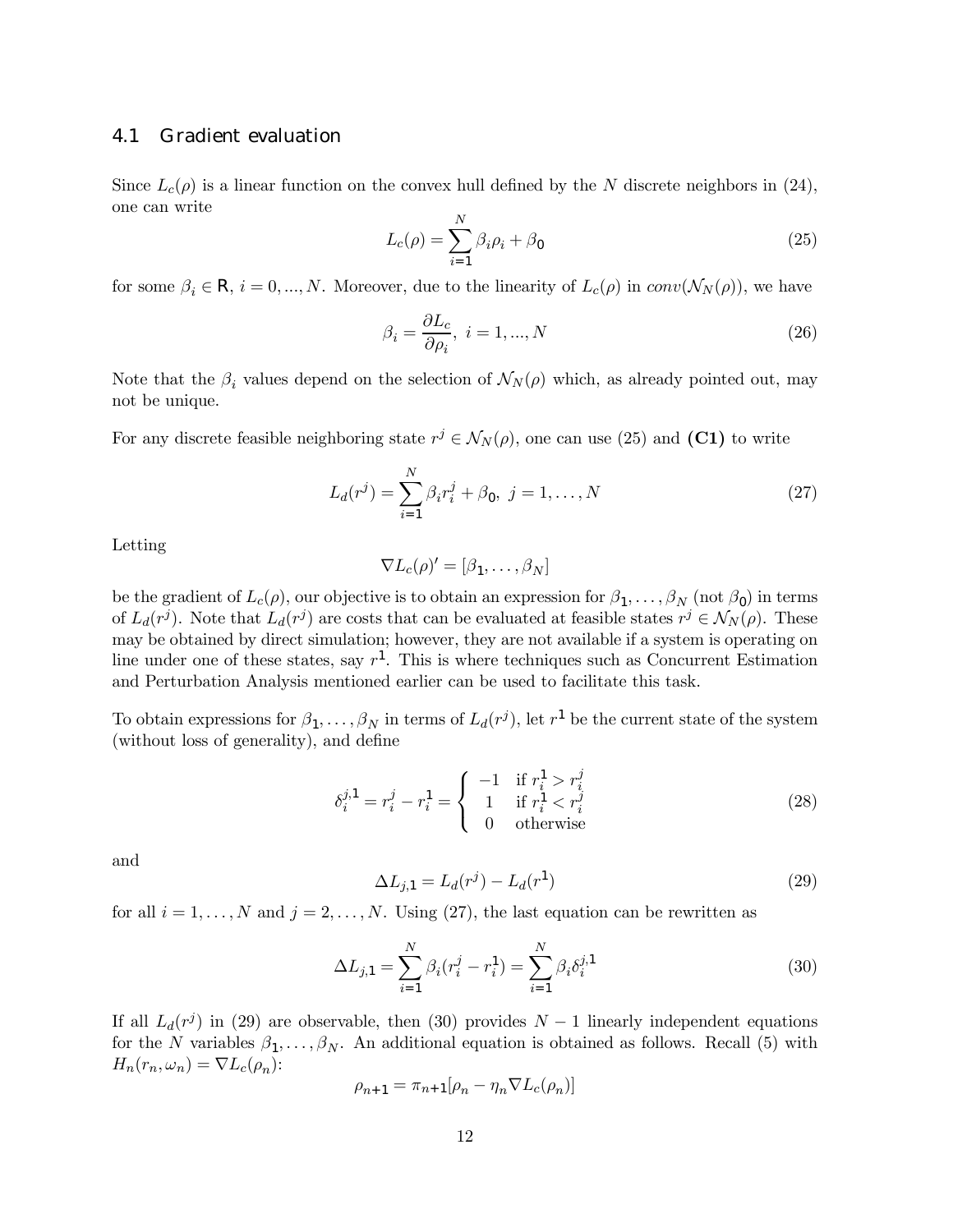#### 4.1 Gradient evaluation

Since  $L_c(\rho)$  is a linear function on the convex hull defined by the N discrete neighbors in (24), one can write

$$
L_c(\rho) = \sum_{i=1}^{N} \beta_i \rho_i + \beta_0 \tag{25}
$$

for some  $\beta_i \in \mathsf{R}, i = 0, ..., N$ . Moreover, due to the linearity of  $L_c(\rho)$  in  $conv(\mathcal{N}_N(\rho))$ , we have

$$
\beta_i = \frac{\partial L_c}{\partial \rho_i}, \ i = 1, ..., N
$$
\n(26)

Note that the  $\beta_i$  values depend on the selection of  $\mathcal{N}_N(\rho)$  which, as already pointed out, may not be unique.

For any discrete feasible neighboring state  $r^j \in \mathcal{N}_N(\rho)$ , one can use (25) and (C1) to write

$$
L_d(r^j) = \sum_{i=1}^{N} \beta_i r_i^j + \beta_0, \ j = 1, \dots, N
$$
 (27)

Letting

$$
\nabla L_c(\rho)'=[\beta_1,\ldots,\beta_N]
$$

be the gradient of  $L_c(\rho)$ , our objective is to obtain an expression for  $\beta_1,\ldots,\beta_N$  (not  $\beta_0$ ) in terms of  $L_d(r^j)$ . Note that  $L_d(r^j)$  are costs that can be evaluated at feasible states  $r^j \in \mathcal{N}_N(\rho)$ . These may be obtained by direct simulation; however, they are not available if a system is operating on line under one of these states, say  $r^1$ . This is where techniques such as Concurrent Estimation and Perturbation Analysis mentioned earlier can be used to facilitate this task.

To obtain expressions for  $\beta_1,\ldots,\beta_N$  in terms of  $L_d(r^j)$ , let  $r^1$  be the current state of the system (without loss of generality), and define

$$
\delta_i^{j,1} = r_i^j - r_i^1 = \begin{cases}\n-1 & \text{if } r_i^1 > r_i^j \\
1 & \text{if } r_i^1 < r_i^j \\
0 & \text{otherwise}\n\end{cases}
$$
\n(28)

and

$$
\Delta L_{j,1} = L_d(r^j) - L_d(r^1)
$$
\n(29)

for all  $i = 1, ..., N$  and  $j = 2, ..., N$ . Using (27), the last equation can be rewritten as

$$
\Delta L_{j,1} = \sum_{i=1}^{N} \beta_i (r_i^j - r_i^1) = \sum_{i=1}^{N} \beta_i \delta_i^{j,1}
$$
\n(30)

If all  $L_d(r^j)$  in (29) are observable, then (30) provides  $N-1$  linearly independent equations for the N variables  $\beta_1, \ldots, \beta_N$ . An additional equation is obtained as follows. Recall (5) with  $H_n(r_n, \omega_n) = \nabla L_c(\rho_n)$ :

$$
\rho_{n+1} = \pi_{n+1}[\rho_n - \eta_n \nabla L_c(\rho_n)]
$$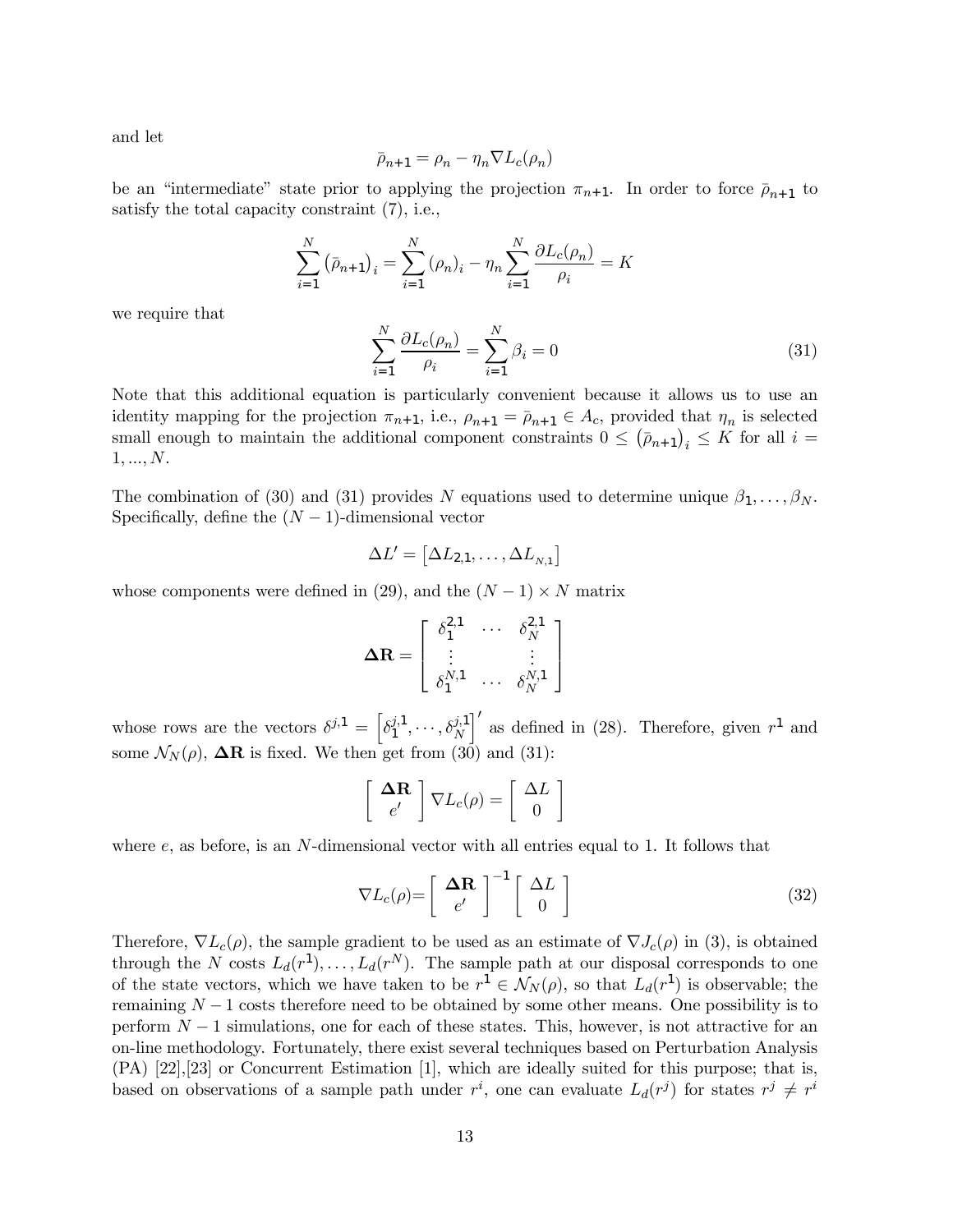and let

$$
\bar{\rho}_{n+1} = \rho_n - \eta_n \nabla L_c(\rho_n)
$$

be an "intermediate" state prior to applying the projection  $\pi_{n+1}$ . In order to force  $\bar{\rho}_{n+1}$  to satisfy the total capacity constraint (7), i.e.,

$$
\sum_{i=1}^{N} (\bar{\rho}_{n+1})_i = \sum_{i=1}^{N} (\rho_n)_i - \eta_n \sum_{i=1}^{N} \frac{\partial L_c(\rho_n)}{\rho_i} = K
$$

we require that

$$
\sum_{i=1}^{N} \frac{\partial L_c(\rho_n)}{\rho_i} = \sum_{i=1}^{N} \beta_i = 0
$$
\n(31)

Note that this additional equation is particularly convenient because it allows us to use an identity mapping for the projection  $\pi_{n+1}$ , i.e.,  $\rho_{n+1} = \overline{\rho}_{n+1} \in A_c$ , provided that  $\eta_n$  is selected small enough to maintain the additional component constraints  $0 \leq (\bar{p}_{n+1})_i \leq K$  for all  $i =$  $1, ..., N$ .

The combination of (30) and (31) provides N equations used to determine unique  $\beta_1,\ldots,\beta_N$ . Specifically, define the  $(N-1)$ -dimensional vector

$$
\Delta L' = [\Delta L_{2,1}, \ldots, \Delta L_{N,1}]
$$

whose components were defined in (29), and the  $(N-1) \times N$  matrix

$$
\mathbf{\Delta R} = \left[ \begin{array}{ccc} \delta_1^{2,1} & \cdots & \delta_N^{2,1} \\ \vdots & & \vdots \\ \delta_1^{N,1} & \cdots & \delta_N^{N,1} \end{array} \right]
$$

whose rows are the vectors  $\delta^{j,1} = \left[\delta_1^{j,1}, \cdots, \delta_N^{j,1}\right]$ N  $\int'$  as defined in (28). Therefore, given  $r<sup>1</sup>$  and some  $\mathcal{N}_N(\rho)$ ,  $\Delta \mathbf{R}$  is fixed. We then get from (30) and (31):

$$
\left[\begin{array}{c}\n\mathbf{\Delta R} \\
e'\n\end{array}\right]\nabla L_c(\rho) = \left[\begin{array}{c}\n\Delta L \\
0\n\end{array}\right]
$$

where  $e$ , as before, is an N-dimensional vector with all entries equal to 1. It follows that

$$
\nabla L_c(\rho) = \left[ \begin{array}{c} \Delta \mathbf{R} \\ e' \end{array} \right]^{-1} \left[ \begin{array}{c} \Delta L \\ 0 \end{array} \right] \tag{32}
$$

Therefore,  $\nabla L_c(\rho)$ , the sample gradient to be used as an estimate of  $\nabla J_c(\rho)$  in (3), is obtained through the N costs  $L_d(r^1), \ldots, L_d(r^N)$ . The sample path at our disposal corresponds to one of the state vectors, which we have taken to be  $r^1 \in \mathcal{N}_N(\rho)$ , so that  $L_d(r^1)$  is observable; the remaining  $N-1$  costs therefore need to be obtained by some other means. One possibility is to perform  $N-1$  simulations, one for each of these states. This, however, is not attractive for an on-line methodology. Fortunately, there exist several techniques based on Perturbation Analysis (PA) [22],[23] or Concurrent Estimation [1], which are ideally suited for this purpose; that is, based on observations of a sample path under  $r^i$ , one can evaluate  $L_d(r^j)$  for states  $r^j \neq r^i$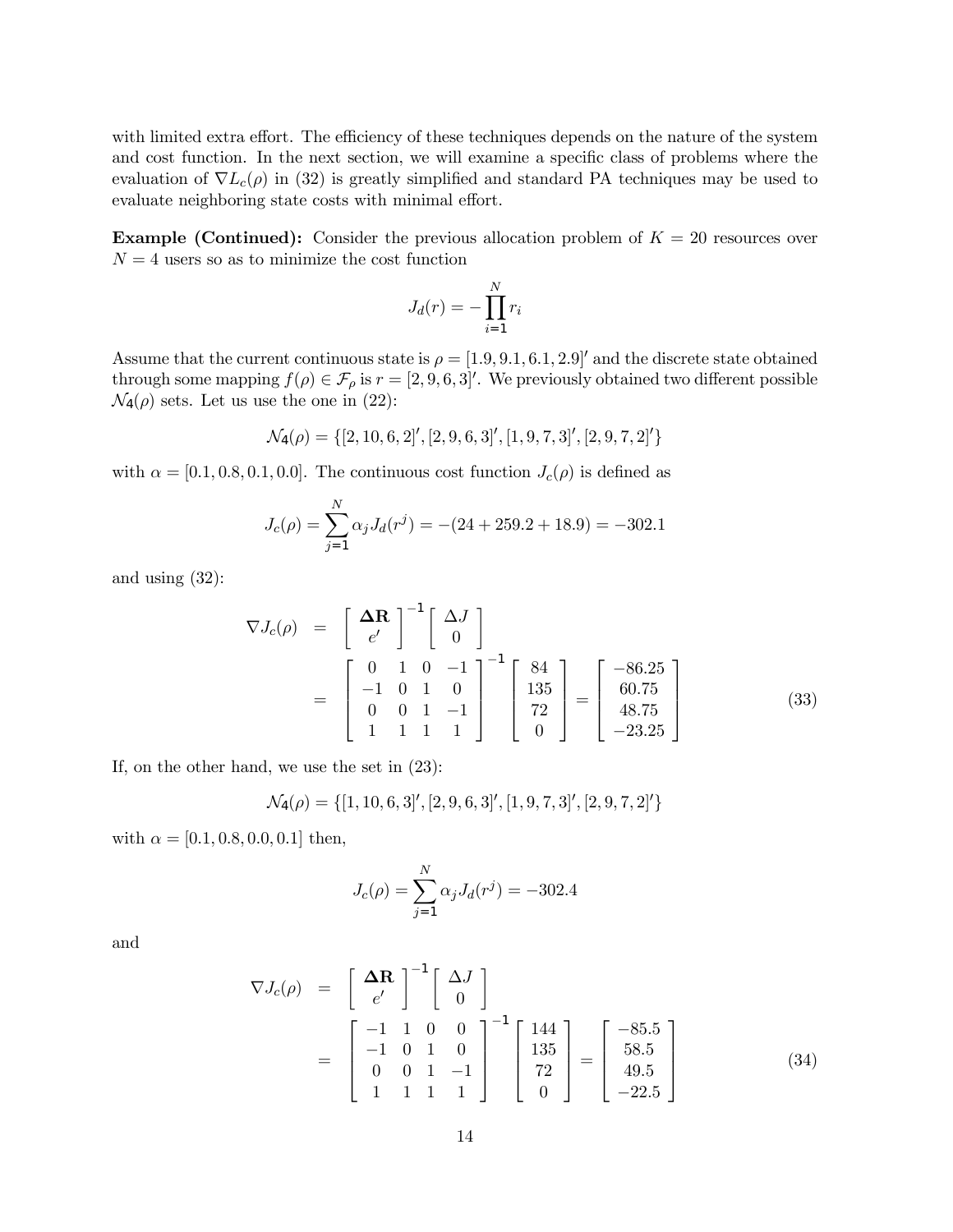with limited extra effort. The efficiency of these techniques depends on the nature of the system and cost function. In the next section, we will examine a specific class of problems where the evaluation of  $\nabla L_c(\rho)$  in (32) is greatly simplified and standard PA techniques may be used to evaluate neighboring state costs with minimal effort.

**Example (Continued):** Consider the previous allocation problem of  $K = 20$  resources over  $N = 4$  users so as to minimize the cost function

$$
J_d(r) = -\prod_{i=1}^{N} r_i
$$

Assume that the current continuous state is  $\rho = [1.9, 9.1, 6.1, 2.9]$  and the discrete state obtained through some mapping  $f(\rho) \in \mathcal{F}_{\rho}$  is  $r = [2, 9, 6, 3]$ . We previously obtained two different possible  $\mathcal{N}_4(\rho)$  sets. Let us use the one in (22):

$$
\mathcal{N}_4(\rho)=\{[2,10,6,2]',[2,9,6,3]',[1,9,7,3]',[2,9,7,2]'\}
$$

with  $\alpha = [0.1, 0.8, 0.1, 0.0]$ . The continuous cost function  $J_c(\rho)$  is defined as

$$
J_c(\rho) = \sum_{j=1}^{N} \alpha_j J_d(r^j) = -(24 + 259.2 + 18.9) = -302.1
$$

and using (32):

$$
\nabla J_c(\rho) = \begin{bmatrix} \Delta \mathbf{R} \\ e' \end{bmatrix}^{-1} \begin{bmatrix} \Delta J \\ 0 \end{bmatrix}
$$
  
= 
$$
\begin{bmatrix} 0 & 1 & 0 & -1 \\ -1 & 0 & 1 & 0 \\ 0 & 0 & 1 & -1 \\ 1 & 1 & 1 & 1 \end{bmatrix}^{-1} \begin{bmatrix} 84 \\ 135 \\ 72 \\ 0 \end{bmatrix} = \begin{bmatrix} -86.25 \\ 60.75 \\ 48.75 \\ -23.25 \end{bmatrix}
$$
(33)

If, on the other hand, we use the set in (23):

$$
\mathcal{N}_4(\rho) = \{ [1, 10, 6, 3]', [2, 9, 6, 3]', [1, 9, 7, 3]', [2, 9, 7, 2]'\}
$$

with  $\alpha = [0.1, 0.8, 0.0, 0.1]$  then,

$$
J_c(\rho) = \sum_{j=1}^{N} \alpha_j J_d(r^j) = -302.4
$$

and

$$
\nabla J_c(\rho) = \begin{bmatrix} \Delta \mathbf{R} \\ e' \end{bmatrix}^{-1} \begin{bmatrix} \Delta J \\ 0 \end{bmatrix}
$$
  
= 
$$
\begin{bmatrix} -1 & 1 & 0 & 0 \\ -1 & 0 & 1 & 0 \\ 0 & 0 & 1 & -1 \\ 1 & 1 & 1 & 1 \end{bmatrix}^{-1} \begin{bmatrix} 144 \\ 135 \\ 72 \\ 0 \end{bmatrix} = \begin{bmatrix} -85.5 \\ 58.5 \\ 49.5 \\ -22.5 \end{bmatrix}
$$
(34)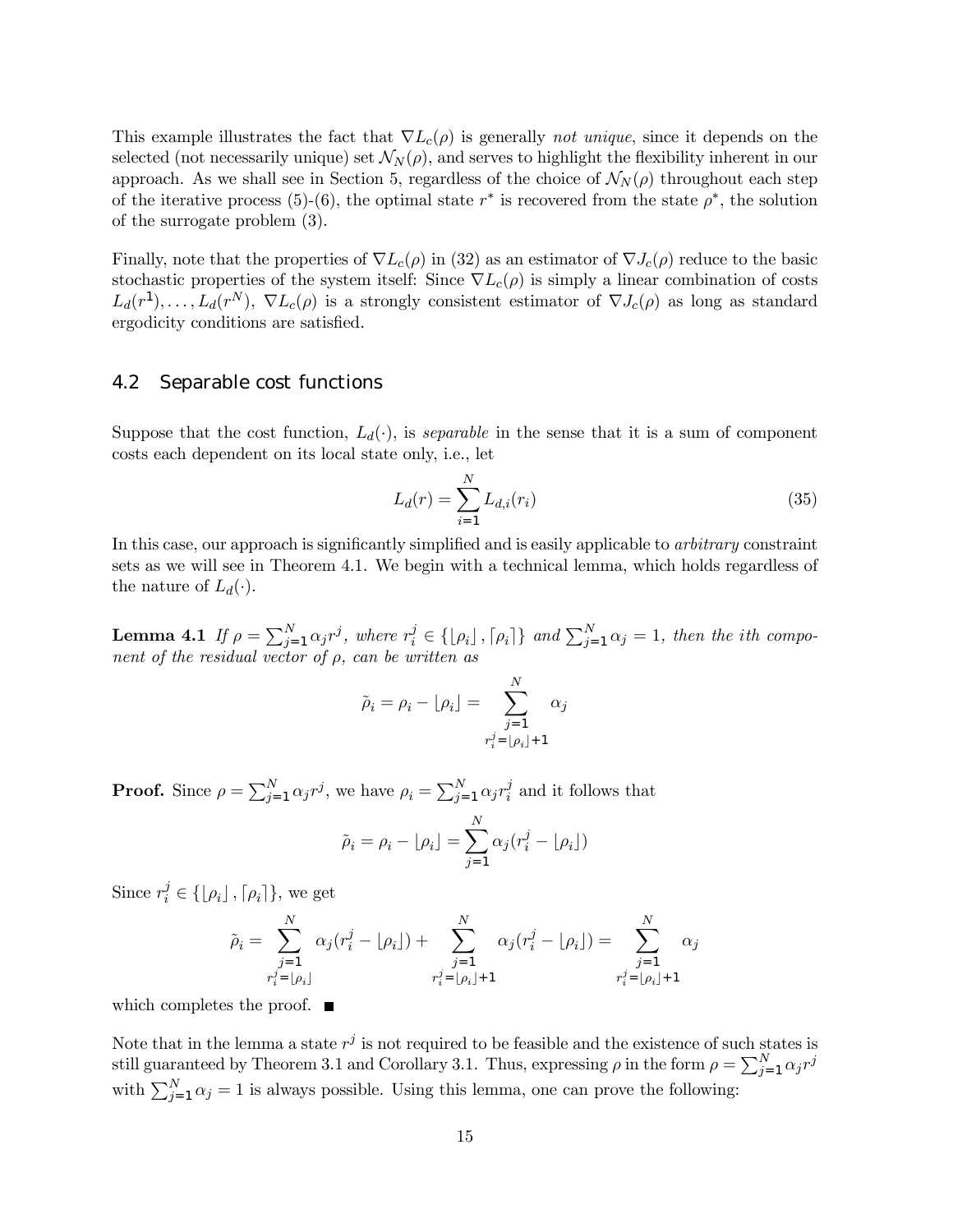This example illustrates the fact that  $\nabla L_c(\rho)$  is generally *not unique*, since it depends on the selected (not necessarily unique) set  $\mathcal{N}_N(\rho)$ , and serves to highlight the flexibility inherent in our approach. As we shall see in Section 5, regardless of the choice of  $\mathcal{N}_N(\rho)$  throughout each step of the iterative process (5)-(6), the optimal state  $r^*$  is recovered from the state  $\rho^*$ , the solution of the surrogate problem (3).

Finally, note that the properties of  $\nabla L_c(\rho)$  in (32) as an estimator of  $\nabla J_c(\rho)$  reduce to the basic stochastic properties of the system itself: Since  $\nabla L_c(\rho)$  is simply a linear combination of costs  $L_d(r^1),\ldots,L_d(r^N), \nabla L_c(\rho)$  is a strongly consistent estimator of  $\nabla J_c(\rho)$  as long as standard ergodicity conditions are satisfied.

#### 4.2 Separable cost functions

Suppose that the cost function,  $L_d(\cdot)$ , is *separable* in the sense that it is a sum of component costs each dependent on its local state only, i.e., let

$$
L_d(r) = \sum_{i=1}^{N} L_{d,i}(r_i)
$$
\n(35)

In this case, our approach is significantly simplified and is easily applicable to *arbitrary* constraint sets as we will see in Theorem 4.1. We begin with a technical lemma, which holds regardless of the nature of  $L_d(\cdot)$ .

**Lemma 4.1** If  $\rho = \sum_{j=1}^{N} \alpha_j r^j$ , where  $r_i^j \in \{\lfloor \rho_i \rfloor, \lceil \rho_i \rceil\}$  and  $\sum_{j=1}^{N} \alpha_j = 1$ , then the ith component of the residual vector of  $\rho$ , can be written as

$$
\tilde{\rho}_i = \rho_i - \lfloor \rho_i \rfloor = \sum_{\substack{j=1 \ r_i^j = \lfloor \rho_i \rfloor + 1}}^N \alpha_j
$$

**Proof.** Since  $\rho = \sum_{j=1}^{N} \alpha_j r^j$ , we have  $\rho_i = \sum_{j=1}^{N} \alpha_j r_i^j$  and it follows that

$$
\tilde{\rho}_i = \rho_i - \lfloor \rho_i \rfloor = \sum_{j=1}^N \alpha_j (r_i^j - \lfloor \rho_i \rfloor)
$$

Since  $r_i^j \in \{[\rho_i], [\rho_i]\}\$ , we get

$$
\tilde{\rho}_i = \sum_{\substack{j=1 \ r_i^j = \lfloor \rho_i \rfloor}}^N \alpha_j (r_i^j - \lfloor \rho_i \rfloor) + \sum_{\substack{j=1 \ r_i^j = \lfloor \rho_i \rfloor + 1}}^N \alpha_j (r_i^j - \lfloor \rho_i \rfloor) = \sum_{\substack{j=1 \ r_i^j = \lfloor \rho_i \rfloor + 1}}^N \alpha_j
$$

which completes the proof.  $\blacksquare$ 

Note that in the lemma a state  $r^j$  is not required to be feasible and the existence of such states is still guaranteed by Theorem 3.1 and Corollary 3.1. Thus, expressing  $\rho$  in the form  $\rho = \sum_{j=1}^{N} \alpha_j r^j$ with  $\sum_{j=1}^{N} \alpha_j = 1$  is always possible. Using this lemma, one can prove the following: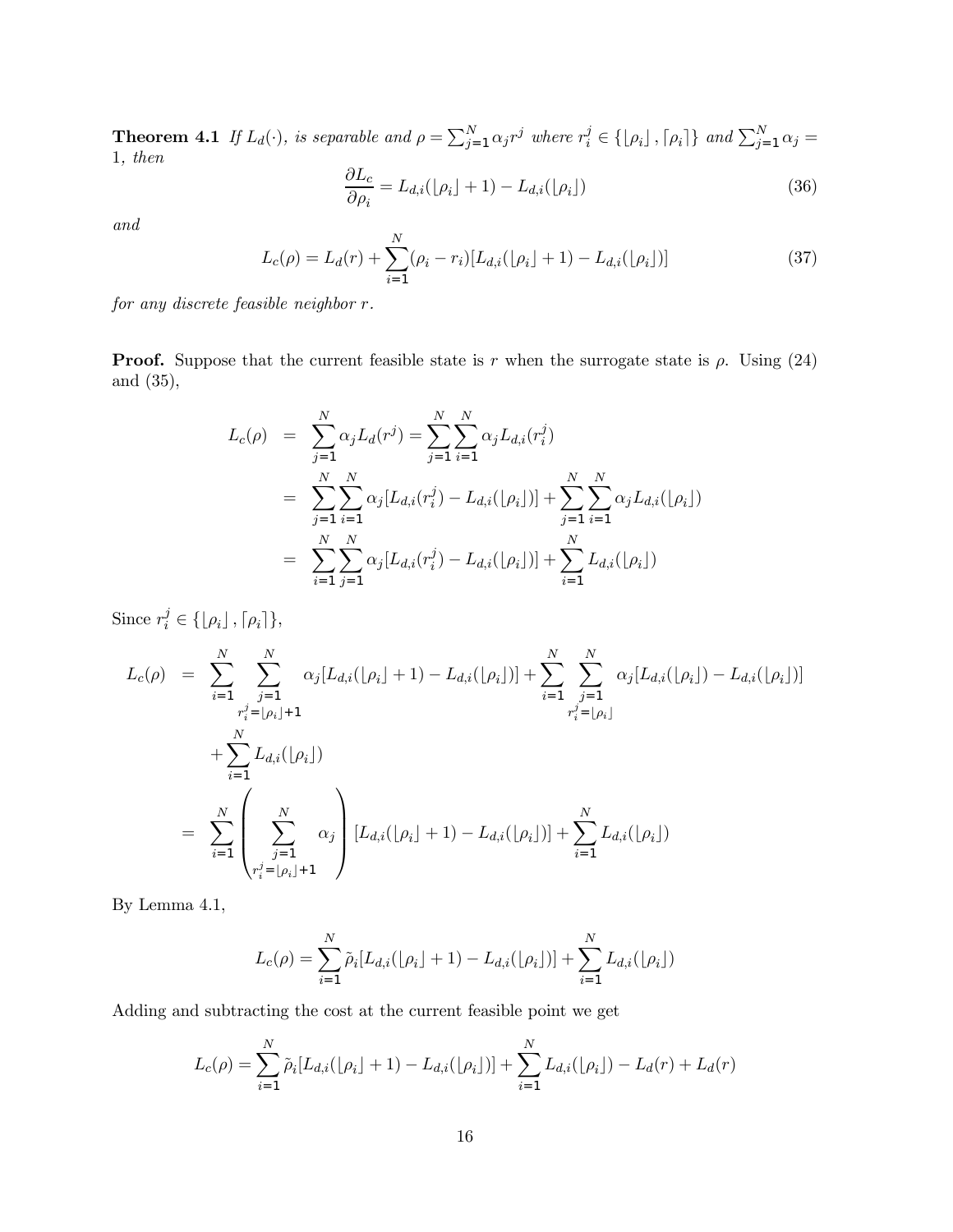**Theorem 4.1** If  $L_d(\cdot)$ , is separable and  $\rho = \sum_{j=1}^N \alpha_j r^j$  where  $r_i^j \in \{\lfloor \rho_i \rfloor, \lceil \rho_i \rceil\}$  and  $\sum_{j=1}^N \alpha_j =$ 1, then

$$
\frac{\partial L_c}{\partial \rho_i} = L_{d,i}([\rho_i] + 1) - L_{d,i}([\rho_i]) \tag{36}
$$

and

$$
L_c(\rho) = L_d(r) + \sum_{i=1}^{N} (\rho_i - r_i) [L_{d,i}([\rho_i] + 1) - L_{d,i}([\rho_i])]
$$
\n(37)

for any discrete feasible neighbor r.

**Proof.** Suppose that the current feasible state is r when the surrogate state is  $\rho$ . Using (24) and (35),

$$
L_c(\rho) = \sum_{j=1}^N \alpha_j L_d(r^j) = \sum_{j=1}^N \sum_{i=1}^N \alpha_j L_{d,i}(r_i^j)
$$
  
= 
$$
\sum_{j=1}^N \sum_{i=1}^N \alpha_j [L_{d,i}(r_i^j) - L_{d,i}([\rho_i])] + \sum_{j=1}^N \sum_{i=1}^N \alpha_j L_{d,i}([\rho_i])
$$
  
= 
$$
\sum_{i=1}^N \sum_{j=1}^N \alpha_j [L_{d,i}(r_i^j) - L_{d,i}([\rho_i])] + \sum_{i=1}^N L_{d,i}([\rho_i])
$$

Since  $r_i^j \in \{\lfloor \rho_i \rfloor, \lceil \rho_i \rceil\},\$ 

$$
L_{c}(\rho) = \sum_{i=1}^{N} \sum_{\substack{j=1 \ r_{i}^{j} = \lfloor \rho_{i} \rfloor + 1}}^{N} \alpha_{j} [L_{d,i}(\lfloor \rho_{i} \rfloor + 1) - L_{d,i}(\lfloor \rho_{i} \rfloor)] + \sum_{i=1}^{N} \sum_{\substack{j=1 \ r_{i}^{j} = \lfloor \rho_{i} \rfloor}}^{N} \alpha_{j} [L_{d,i}(\lfloor \rho_{i} \rfloor) - L_{d,i}(\lfloor \rho_{i} \rfloor)]
$$
  
+ 
$$
\sum_{i=1}^{N} L_{d,i}(\lfloor \rho_{i} \rfloor)
$$
  
= 
$$
\sum_{i=1}^{N} \left( \sum_{\substack{j=1 \ r_{i}^{j} = \lfloor \rho_{i} \rfloor + 1}}^{N} \alpha_{j} \right) [L_{d,i}(\lfloor \rho_{i} \rfloor + 1) - L_{d,i}(\lfloor \rho_{i} \rfloor)] + \sum_{i=1}^{N} L_{d,i}(\lfloor \rho_{i} \rfloor)
$$

By Lemma 4.1,

$$
L_c(\rho) = \sum_{i=1}^{N} \tilde{\rho}_i [L_{d,i}(\lfloor \rho_i \rfloor + 1) - L_{d,i}(\lfloor \rho_i \rfloor)] + \sum_{i=1}^{N} L_{d,i}(\lfloor \rho_i \rfloor)
$$

Adding and subtracting the cost at the current feasible point we get

$$
L_c(\rho) = \sum_{i=1}^N \tilde{\rho}_i [L_{d,i}(\lfloor \rho_i \rfloor + 1) - L_{d,i}(\lfloor \rho_i \rfloor)] + \sum_{i=1}^N L_{d,i}(\lfloor \rho_i \rfloor) - L_d(r) + L_d(r)
$$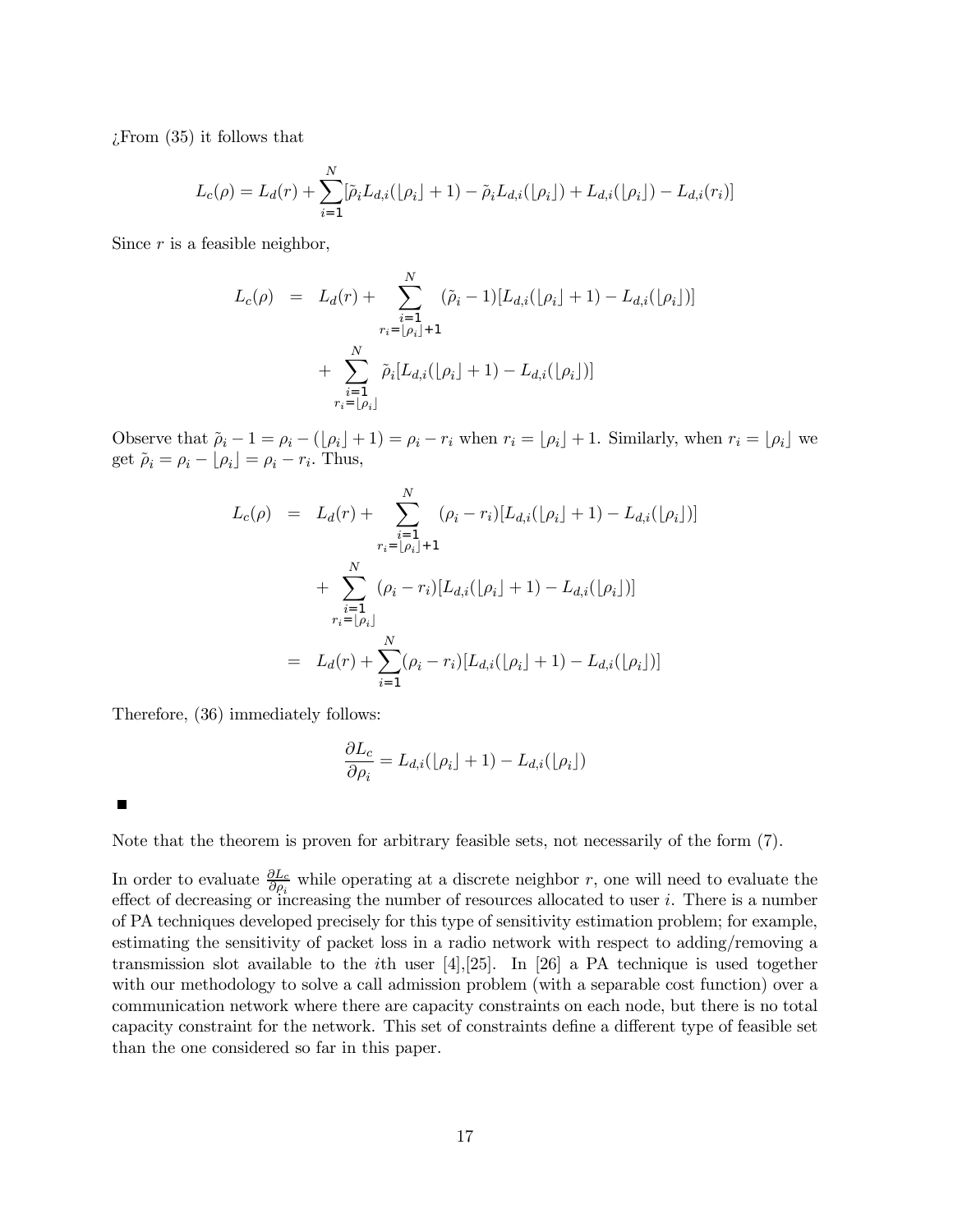¿From (35) it follows that

$$
L_c(\rho) = L_d(r) + \sum_{i=1}^{N} [\tilde{\rho}_i L_{d,i}([\rho_i] + 1) - \tilde{\rho}_i L_{d,i}([\rho_i]) + L_{d,i}([\rho_i]) - L_{d,i}(r_i)]
$$

Since  $r$  is a feasible neighbor,

$$
L_c(\rho) = L_d(r) + \sum_{\substack{i=1 \ i \neq j}}^N (\tilde{\rho}_i - 1)[L_{d,i}(\lfloor \rho_i \rfloor + 1) - L_{d,i}(\lfloor \rho_i \rfloor)] + \sum_{\substack{i=1 \ i \neq j}}^N \tilde{\rho}_i[L_{d,i}(\lfloor \rho_i \rfloor + 1) - L_{d,i}(\lfloor \rho_i \rfloor)] + \sum_{\substack{i=1 \ i \neq j}}^N \tilde{\rho}_i[L_{d,i}(\lfloor \rho_i \rfloor + 1) - L_{d,i}(\lfloor \rho_i \rfloor)]
$$

Observe that  $\tilde{\rho}_i - 1 = \rho_i - (\lfloor \rho_i \rfloor + 1) = \rho_i - r_i$  when  $r_i = \lfloor \rho_i \rfloor + 1$ . Similarly, when  $r_i = \lfloor \rho_i \rfloor$  we get  $\tilde{\rho}_i = \rho_i - \lfloor \rho_i \rfloor = \rho_i - r_i$ . Thus,

$$
L_c(\rho) = L_d(r) + \sum_{\substack{i=1 \ i \neq j}}^N (\rho_i - r_i) [L_{d,i}([\rho_i] + 1) - L_{d,i}([\rho_i])]
$$
  
+ 
$$
\sum_{\substack{i=1 \ i \neq j}}^N (\rho_i - r_i) [L_{d,i}([\rho_i] + 1) - L_{d,i}([\rho_i])]
$$
  
= 
$$
L_d(r) + \sum_{i=1}^N (\rho_i - r_i) [L_{d,i}([\rho_i] + 1) - L_{d,i}([\rho_i])]
$$

Therefore, (36) immediately follows:

$$
\frac{\partial L_c}{\partial \rho_i} = L_{d,i}(\lfloor \rho_i \rfloor + 1) - L_{d,i}(\lfloor \rho_i \rfloor)
$$

 $\blacksquare$ 

Note that the theorem is proven for arbitrary feasible sets, not necessarily of the form (7).

In order to evaluate  $\frac{\partial L_c}{\partial \rho_i}$  while operating at a discrete neighbor r, one will need to evaluate the effect of decreasing or increasing the number of resources allocated to user  $i$ . There is a number of PA techniques developed precisely for this type of sensitivity estimation problem; for example, estimating the sensitivity of packet loss in a radio network with respect to adding/removing a transmission slot available to the *i*th user  $|4|,|25|$ . In [26] a PA technique is used together with our methodology to solve a call admission problem (with a separable cost function) over a communication network where there are capacity constraints on each node, but there is no total capacity constraint for the network. This set of constraints define a different type of feasible set than the one considered so far in this paper.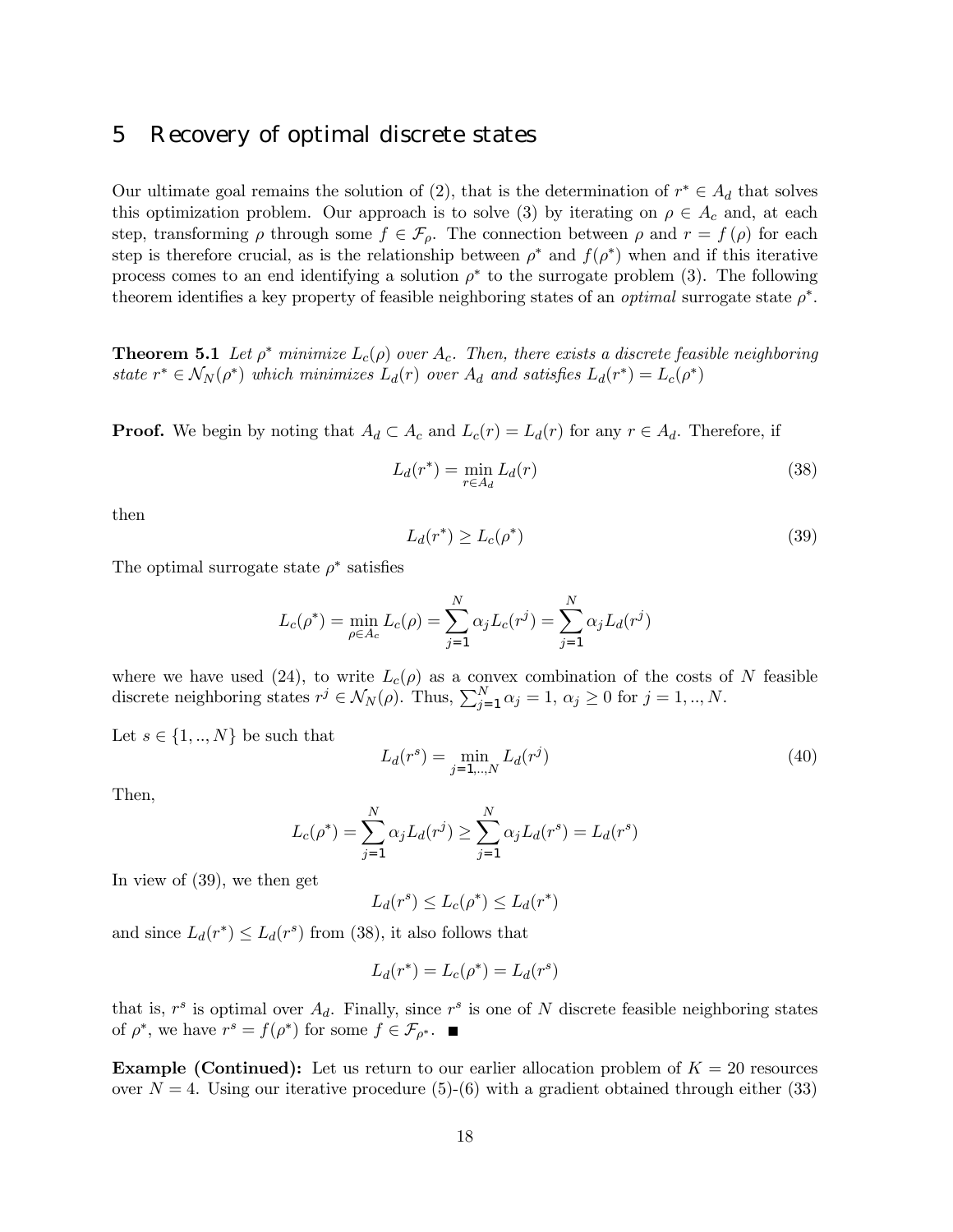#### 5 Recovery of optimal discrete states

Our ultimate goal remains the solution of (2), that is the determination of  $r^* \in A_d$  that solves this optimization problem. Our approach is to solve (3) by iterating on  $\rho \in A_c$  and, at each step, transforming  $\rho$  through some  $f \in \mathcal{F}_{\rho}$ . The connection between  $\rho$  and  $r = f(\rho)$  for each step is therefore crucial, as is the relationship between  $\rho^*$  and  $f(\rho^*)$  when and if this iterative process comes to an end identifying a solution  $\rho^*$  to the surrogate problem (3). The following theorem identifies a key property of feasible neighboring states of an *optimal* surrogate state  $\rho^*$ .

**Theorem 5.1** Let  $\rho^*$  minimize  $L_c(\rho)$  over  $A_c$ . Then, there exists a discrete feasible neighboring state  $r^* \in \mathcal{N}_N(\rho^*)$  which minimizes  $L_d(r)$  over  $A_d$  and satisfies  $L_d(r^*) = L_c(\rho^*)$ 

**Proof.** We begin by noting that  $A_d \subset A_c$  and  $L_c(r) = L_d(r)$  for any  $r \in A_d$ . Therefore, if

$$
L_d(r^*) = \min_{r \in A_d} L_d(r) \tag{38}
$$

then

$$
L_d(r^*) \ge L_c(\rho^*)
$$
\n(39)

The optimal surrogate state  $\rho^*$  satisfies

$$
L_c(\rho^*) = \min_{\rho \in A_c} L_c(\rho) = \sum_{j=1}^N \alpha_j L_c(r^j) = \sum_{j=1}^N \alpha_j L_d(r^j)
$$

where we have used (24), to write  $L_c(\rho)$  as a convex combination of the costs of N feasible discrete neighboring states  $r^j \in \mathcal{N}_N(\rho)$ . Thus,  $\sum_{j=1}^N \alpha_j = 1, \alpha_j \ge 0$  for  $j = 1, ..., N$ .

Let  $s \in \{1, ..., N\}$  be such that

$$
L_d(r^s) = \min_{j=1,\dots,N} L_d(r^j)
$$
\n(40)

Then,

$$
L_c(\rho^*) = \sum_{j=1}^{N} \alpha_j L_d(r^j) \ge \sum_{j=1}^{N} \alpha_j L_d(r^s) = L_d(r^s)
$$

In view of (39), we then get

$$
L_d(r^s) \le L_c(\rho^*) \le L_d(r^*)
$$

and since  $L_d(r^*) \leq L_d(r^*)$  from (38), it also follows that

$$
L_d(r^*) = L_c(\rho^*) = L_d(r^*)
$$

that is,  $r^s$  is optimal over  $A_d$ . Finally, since  $r^s$  is one of N discrete feasible neighboring states of  $\rho^*$ , we have  $r^s = f(\rho^*)$  for some  $f \in \mathcal{F}_{\rho^*}$ .

**Example (Continued):** Let us return to our earlier allocation problem of  $K = 20$  resources over  $N = 4$ . Using our iterative procedure (5)-(6) with a gradient obtained through either (33)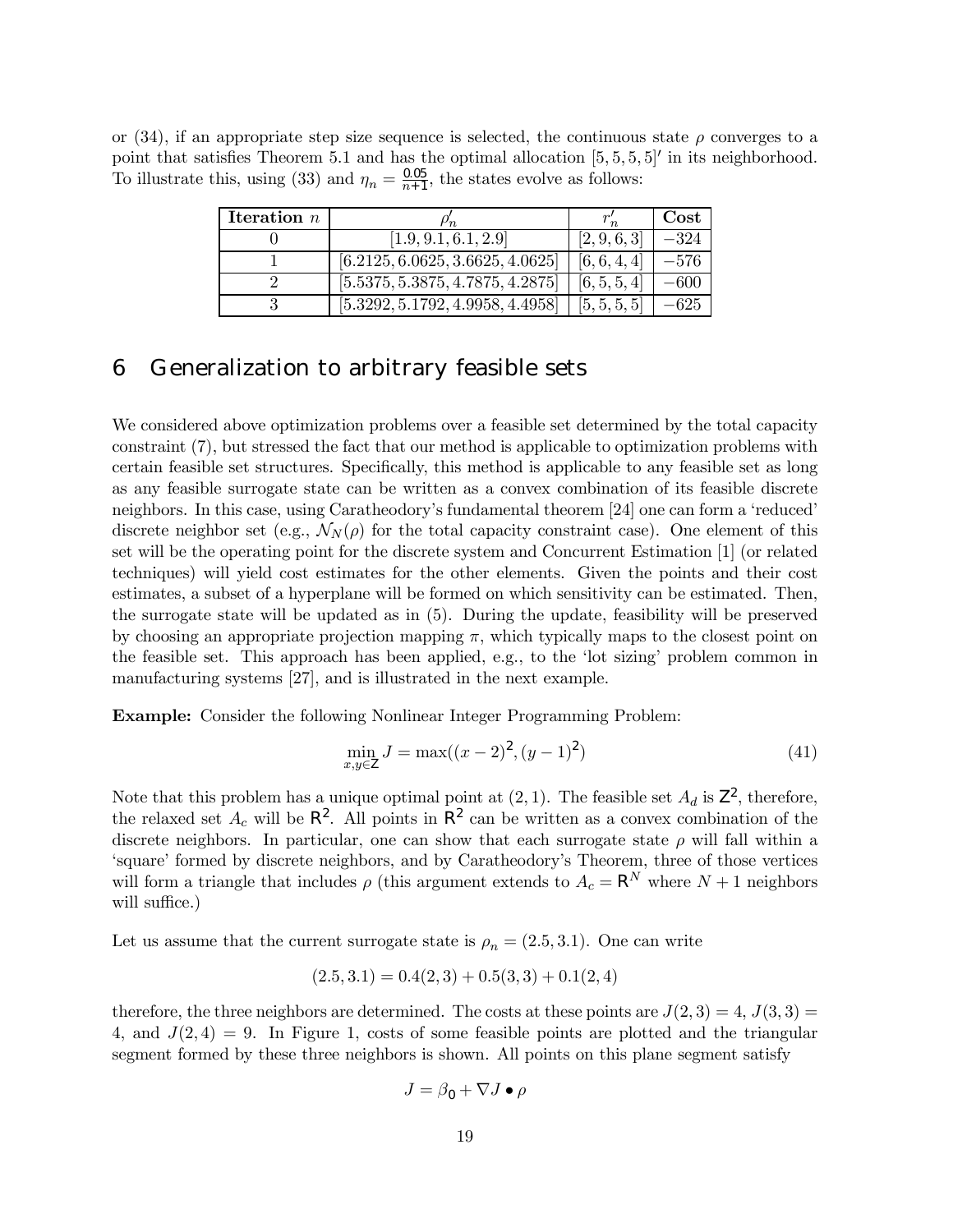or (34), if an appropriate step size sequence is selected, the continuous state  $\rho$  converges to a point that satisfies Theorem 5.1 and has the optimal allocation  $[5, 5, 5, 5]$  in its neighborhood. To illustrate this, using (33) and  $\eta_n = \frac{0.05}{n+1}$ , the states evolve as follows:

| Iteration $n$ |                                  |              | $\mathbf{Cost}$ |
|---------------|----------------------------------|--------------|-----------------|
|               | [1.9, 9.1, 6.1, 2.9]             | [2, 9, 6, 3] | $-324$          |
|               | [6.2125, 6.0625, 3.6625, 4.0625] | [6, 6, 4, 4] | –576            |
|               | [5.5375, 5.3875, 4.7875, 4.2875] | [6, 5, 5, 4] | –600            |
|               | [5.3292, 5.1792, 4.9958, 4.4958] | [5, 5, 5, 5] |                 |

## 6 Generalization to arbitrary feasible sets

We considered above optimization problems over a feasible set determined by the total capacity constraint (7), but stressed the fact that our method is applicable to optimization problems with certain feasible set structures. Specifically, this method is applicable to any feasible set as long as any feasible surrogate state can be written as a convex combination of its feasible discrete neighbors. In this case, using Caratheodory's fundamental theorem [24] one can form a 'reduced' discrete neighbor set (e.g.,  $\mathcal{N}_N(\rho)$  for the total capacity constraint case). One element of this set will be the operating point for the discrete system and Concurrent Estimation [1] (or related techniques) will yield cost estimates for the other elements. Given the points and their cost estimates, a subset of a hyperplane will be formed on which sensitivity can be estimated. Then, the surrogate state will be updated as in (5). During the update, feasibility will be preserved by choosing an appropriate projection mapping  $\pi$ , which typically maps to the closest point on the feasible set. This approach has been applied, e.g., to the 'lot sizing' problem common in manufacturing systems [27], and is illustrated in the next example.

Example: Consider the following Nonlinear Integer Programming Problem:

$$
\min_{x,y \in \mathsf{Z}} J = \max((x-2)^2, (y-1)^2) \tag{41}
$$

Note that this problem has a unique optimal point at  $(2, 1)$ . The feasible set  $A_d$  is  $\mathsf{Z}^2$ , therefore, the relaxed set  $A_c$  will be  $\mathsf{R}^2$ . All points in  $\mathsf{R}^2$  can be written as a convex combination of the discrete neighbors. In particular, one can show that each surrogate state  $\rho$  will fall within a 'square' formed by discrete neighbors, and by Caratheodory's Theorem, three of those vertices will form a triangle that includes  $\rho$  (this argument extends to  $A_c = \mathbb{R}^N$  where  $N + 1$  neighbors will suffice.)

Let us assume that the current surrogate state is  $\rho_n = (2.5, 3.1)$ . One can write

$$
(2.5, 3.1) = 0.4(2, 3) + 0.5(3, 3) + 0.1(2, 4)
$$

therefore, the three neighbors are determined. The costs at these points are  $J(2,3) = 4$ ,  $J(3,3) =$ 4, and  $J(2, 4) = 9$ . In Figure 1, costs of some feasible points are plotted and the triangular segment formed by these three neighbors is shown. All points on this plane segment satisfy

$$
J = \beta_0 + \nabla J \bullet \rho
$$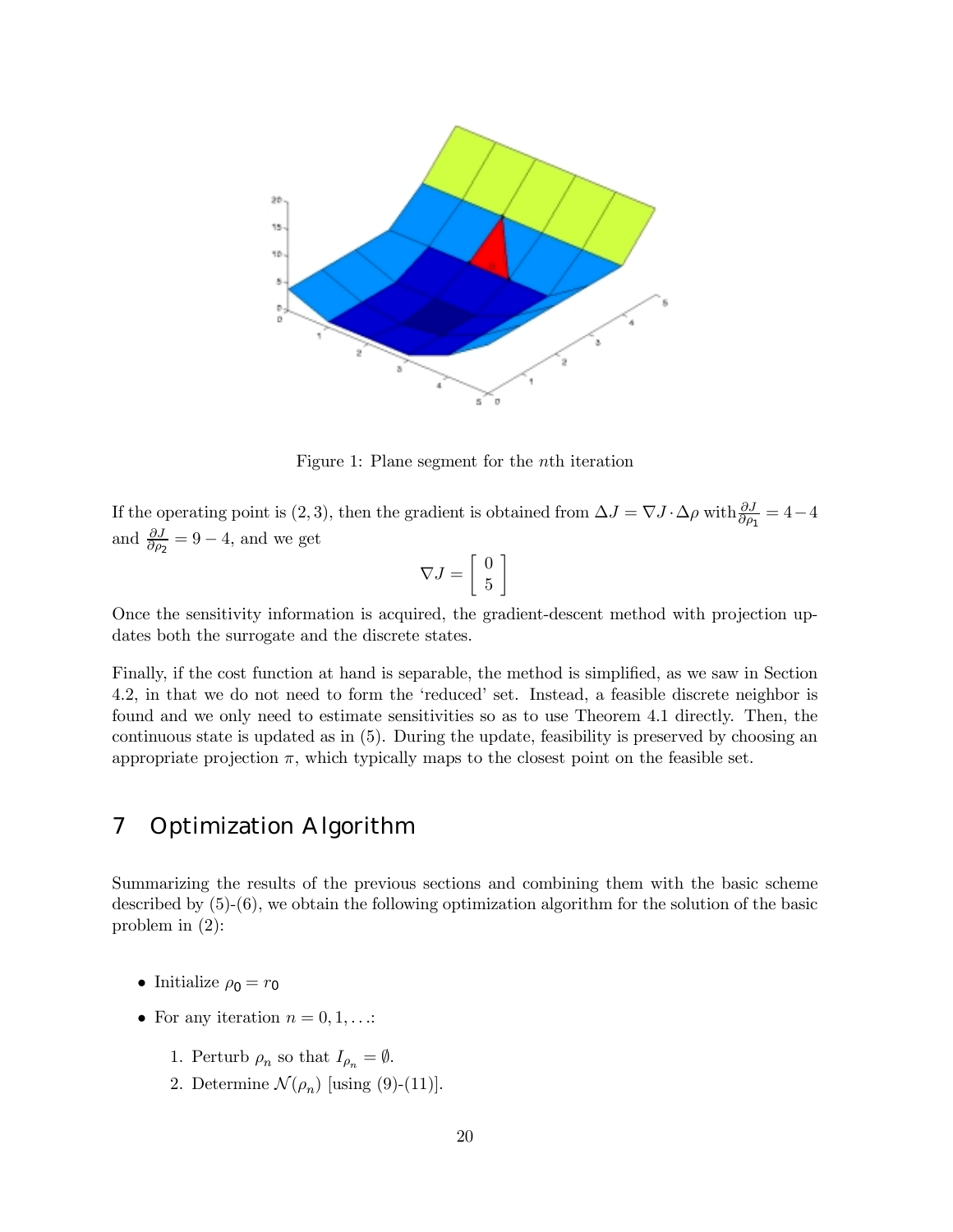

Figure 1: Plane segment for the nth iteration

If the operating point is (2, 3), then the gradient is obtained from  $\Delta J = \nabla J \cdot \Delta \rho$  with  $\frac{\partial J}{\partial \rho_1} = 4 - 4$ and  $\frac{\partial J}{\partial \rho_2} = 9 - 4$ , and we get

$$
\nabla J = \left[ \begin{array}{c} 0 \\ 5 \end{array} \right]
$$

Once the sensitivity information is acquired, the gradient-descent method with projection updates both the surrogate and the discrete states.

Finally, if the cost function at hand is separable, the method is simplified, as we saw in Section 4.2, in that we do not need to form the 'reduced' set. Instead, a feasible discrete neighbor is found and we only need to estimate sensitivities so as to use Theorem 4.1 directly. Then, the continuous state is updated as in (5). During the update, feasibility is preserved by choosing an appropriate projection  $\pi$ , which typically maps to the closest point on the feasible set.

# 7 Optimization Algorithm

Summarizing the results of the previous sections and combining them with the basic scheme described by (5)-(6), we obtain the following optimization algorithm for the solution of the basic problem in (2):

- Initialize  $\rho_0 = r_0$
- For any iteration  $n = 0, 1, \ldots$ :
	- 1. Perturb  $\rho_n$  so that  $I_{\rho_n} = \emptyset$ .
	- 2. Determine  $\mathcal{N}(\rho_n)$  [using (9)-(11)].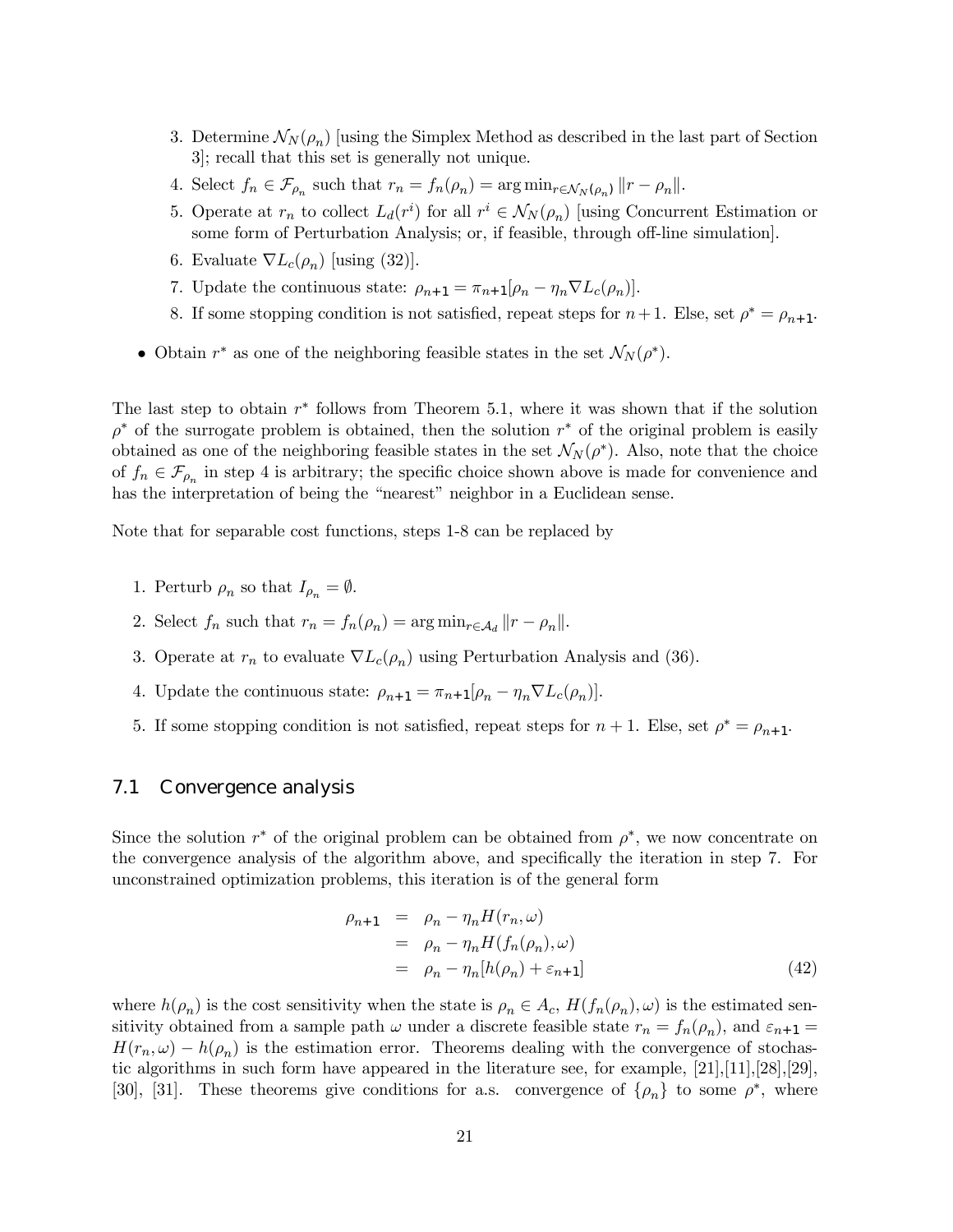- 3. Determine  $\mathcal{N}_N(\rho_n)$  [using the Simplex Method as described in the last part of Section 3]; recall that this set is generally not unique.
- 4. Select  $f_n \in \mathcal{F}_{\rho_n}$  such that  $r_n = f_n(\rho_n) = \arg \min_{r \in \mathcal{N}_N(\rho_n)} ||r \rho_n||$ .
- 5. Operate at  $r_n$  to collect  $L_d(r^i)$  for all  $r^i \in \mathcal{N}_N(\rho_n)$  [using Concurrent Estimation or some form of Perturbation Analysis; or, if feasible, through off-line simulation].
- 6. Evaluate  $\nabla L_c(\rho_n)$  [using (32)].
- 7. Update the continuous state:  $\rho_{n+1} = \pi_{n+1}[\rho_n \eta_n \nabla L_c(\rho_n)]$ .
- 8. If some stopping condition is not satisfied, repeat steps for  $n+1$ . Else, set  $\rho^* = \rho_{n+1}$ .
- Obtain  $r^*$  as one of the neighboring feasible states in the set  $\mathcal{N}_N(\rho^*)$ .

The last step to obtain  $r^*$  follows from Theorem 5.1, where it was shown that if the solution  $\rho^*$  of the surrogate problem is obtained, then the solution r<sup>∗</sup> of the original problem is easily obtained as one of the neighboring feasible states in the set  $\mathcal{N}_N(\rho^*)$ . Also, note that the choice of  $f_n \in \mathcal{F}_{\rho_n}$  in step 4 is arbitrary; the specific choice shown above is made for convenience and has the interpretation of being the "nearest" neighbor in a Euclidean sense.

Note that for separable cost functions, steps 1-8 can be replaced by

- 1. Perturb  $\rho_n$  so that  $I_{\rho_n} = \emptyset$ .
- 2. Select  $f_n$  such that  $r_n = f_n(\rho_n) = \arg \min_{r \in A_d} ||r \rho_n||$ .
- 3. Operate at  $r_n$  to evaluate  $\nabla L_c(\rho_n)$  using Perturbation Analysis and (36).
- 4. Update the continuous state:  $\rho_{n+1} = \pi_{n+1}[\rho_n \eta_n \nabla L_c(\rho_n)]$ .
- 5. If some stopping condition is not satisfied, repeat steps for  $n + 1$ . Else, set  $\rho^* = \rho_{n+1}$ .

#### 7.1 Convergence analysis

Since the solution  $r^*$  of the original problem can be obtained from  $\rho^*$ , we now concentrate on the convergence analysis of the algorithm above, and specifically the iteration in step 7. For unconstrained optimization problems, this iteration is of the general form

$$
\rho_{n+1} = \rho_n - \eta_n H(r_n, \omega)
$$
  
=  $\rho_n - \eta_n H(f_n(\rho_n), \omega)$   
=  $\rho_n - \eta_n [h(\rho_n) + \varepsilon_{n+1}]$  (42)

where  $h(\rho_n)$  is the cost sensitivity when the state is  $\rho_n \in A_c$ ,  $H(f_n(\rho_n), \omega)$  is the estimated sensitivity obtained from a sample path  $\omega$  under a discrete feasible state  $r_n = f_n(\rho_n)$ , and  $\varepsilon_{n+1} =$  $H(r_n, \omega) - h(\rho_n)$  is the estimation error. Theorems dealing with the convergence of stochastic algorithms in such form have appeared in the literature see, for example, [21],[11],[28],[29], [30], [31]. These theorems give conditions for a.s. convergence of  $\{\rho_n\}$  to some  $\rho^*$ , where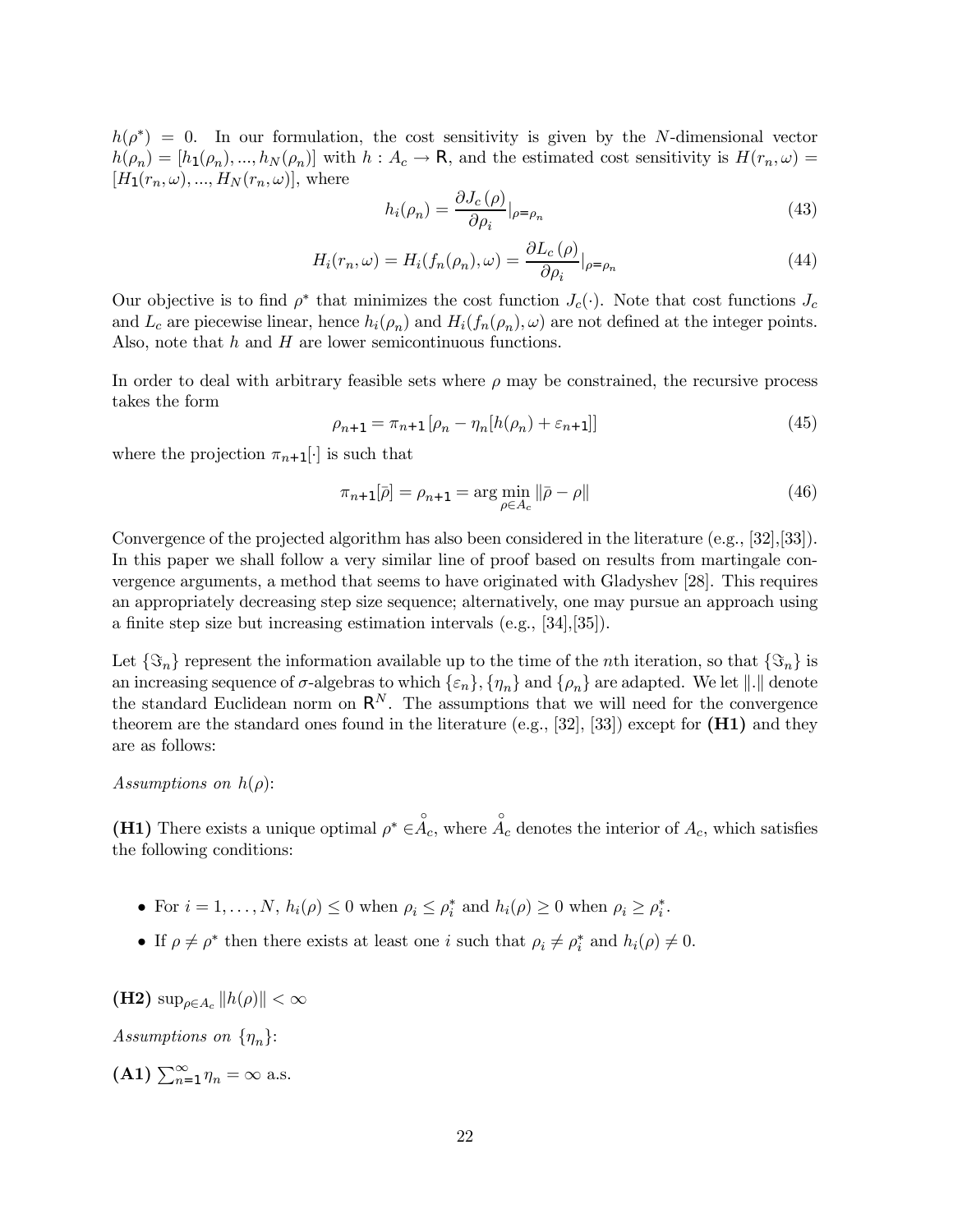$h(\rho^*) = 0$ . In our formulation, the cost sensitivity is given by the N-dimensional vector  $h(\rho_n)=[h_1(\rho_n),...,h_N(\rho_n)]$  with  $h : A_c \to \mathsf{R}$ , and the estimated cost sensitivity is  $H(r_n,\omega)$  $[H_1(r_n,\omega),...,H_N(r_n,\omega)],$  where

$$
h_i(\rho_n) = \frac{\partial J_c(\rho)}{\partial \rho_i}|_{\rho = \rho_n} \tag{43}
$$

$$
H_i(r_n, \omega) = H_i(f_n(\rho_n), \omega) = \frac{\partial L_c(\rho)}{\partial \rho_i}|_{\rho = \rho_n}
$$
\n(44)

Our objective is to find  $\rho^*$  that minimizes the cost function  $J_c(\cdot)$ . Note that cost functions  $J_c$ and  $L_c$  are piecewise linear, hence  $h_i(\rho_n)$  and  $H_i(f_n(\rho_n), \omega)$  are not defined at the integer points. Also, note that  $h$  and  $H$  are lower semicontinuous functions.

In order to deal with arbitrary feasible sets where  $\rho$  may be constrained, the recursive process takes the form

$$
\rho_{n+1} = \pi_{n+1} [\rho_n - \eta_n [h(\rho_n) + \varepsilon_{n+1}]] \tag{45}
$$

where the projection  $\pi_{n+1}[\cdot]$  is such that

$$
\pi_{n+1}[\bar{\rho}] = \rho_{n+1} = \arg\min_{\rho \in A_c} \|\bar{\rho} - \rho\| \tag{46}
$$

Convergence of the projected algorithm has also been considered in the literature (e.g., [32],[33]). In this paper we shall follow a very similar line of proof based on results from martingale convergence arguments, a method that seems to have originated with Gladyshev [28]. This requires an appropriately decreasing step size sequence; alternatively, one may pursue an approach using a finite step size but increasing estimation intervals (e.g., [34],[35]).

Let  $\{\Im_n\}$  represent the information available up to the time of the *n*th iteration, so that  $\{\Im_n\}$  is an increasing sequence of  $\sigma$ -algebras to which  $\{\varepsilon_n\}$ ,  $\{\eta_n\}$  and  $\{\rho_n\}$  are adapted. We let  $\|.\|$  denote the standard Euclidean norm on  $\mathsf{R}^N$ . The assumptions that we will need for the convergence theorem are the standard ones found in the literature (e.g., [32], [33]) except for  $(H1)$  and they are as follows:

Assumptions on  $h(\rho)$ :

(H1) There exists a unique optimal  $\rho^* \in \stackrel{\circ}{A_c}$ , where  $\stackrel{\circ}{A_c}$  denotes the interior of  $A_c$ , which satisfies the following conditions:

- For  $i = 1, ..., N$ ,  $h_i(\rho) \leq 0$  when  $\rho_i \leq \rho_i^*$  and  $h_i(\rho) \geq 0$  when  $\rho_i \geq \rho_i^*$ .
- If  $\rho \neq \rho^*$  then there exists at least one i such that  $\rho_i \neq \rho_i^*$  and  $h_i(\rho) \neq 0$ .

(H2)  $\sup_{\rho \in A_c} ||h(\rho)|| < \infty$ 

Assumptions on  $\{\eta_n\}$ :

(A1)  $\sum_{n=1}^{\infty} \eta_n = \infty$  a.s.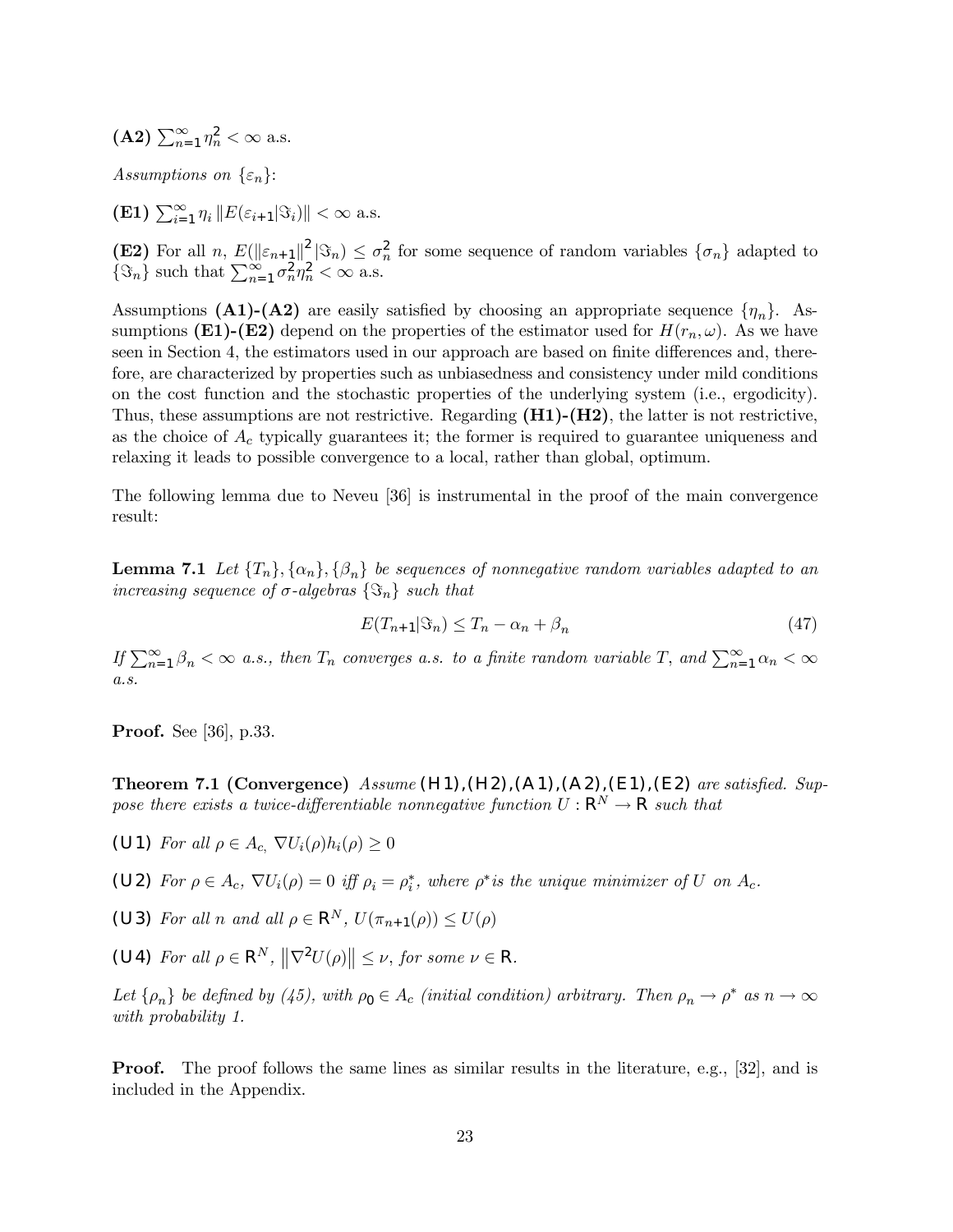(A2) 
$$
\sum_{n=1}^{\infty} \eta_n^2 < \infty \text{ a.s.}
$$

Assumptions on  $\{\varepsilon_n\}$ :

**(E1)**  $\sum_{i=1}^{\infty} \eta_i ||E(\varepsilon_{i+1}|\Im_i)|| < \infty$  a.s.

**(E2)** For all n,  $E(\|\varepsilon_{n+1}\|^2 |\mathfrak{S}_n) \leq \sigma_n^2$  for some sequence of random variables  $\{\sigma_n\}$  adapted to  $\{\Im_n\}$  such that  $\sum_{n=1}^{\infty} \sigma_n^2 \eta_n^2 < \infty$  a.s.

Assumptions (A1)-(A2) are easily satisfied by choosing an appropriate sequence  $\{\eta_n\}$ . Assumptions (E1)-(E2) depend on the properties of the estimator used for  $H(r_n, \omega)$ . As we have seen in Section 4, the estimators used in our approach are based on finite differences and, therefore, are characterized by properties such as unbiasedness and consistency under mild conditions on the cost function and the stochastic properties of the underlying system (i.e., ergodicity). Thus, these assumptions are not restrictive. Regarding  $(H1)-(H2)$ , the latter is not restrictive, as the choice of  $A_c$  typically guarantees it; the former is required to guarantee uniqueness and relaxing it leads to possible convergence to a local, rather than global, optimum.

The following lemma due to Neveu [36] is instrumental in the proof of the main convergence result:

**Lemma 7.1** Let  $\{T_n\}, \{\alpha_n\}, \{\beta_n\}$  be sequences of nonnegative random variables adapted to an increasing sequence of  $\sigma$ -algebras  $\{\mathcal{S}_n\}$  such that

$$
E(T_{n+1}|\Im_n) \le T_n - \alpha_n + \beta_n \tag{47}
$$

If  $\sum_{n=1}^{\infty} \beta_n < \infty$  a.s., then  $T_n$  converges a.s. to a finite random variable T, and  $\sum_{n=1}^{\infty} \alpha_n < \infty$ a.s.

Proof. See [36], p.33.

Theorem 7.1 (Convergence)  $Assume$  (H1),(H2),(A1),(A2),(E1),(E2) are satisfied. Suppose there exists a twice-differentiable nonnegative function  $U: \mathsf{R}^N \to \mathsf{R}$  such that

(U1) For all  $\rho \in A_c$ ,  $\nabla U_i(\rho) h_i(\rho) \geq 0$ 

(U2) For  $\rho \in A_c$ ,  $\nabla U_i(\rho) = 0$  iff  $\rho_i = \rho_i^*$ , where  $\rho^*$  is the unique minimizer of U on  $A_c$ .

(U3) For all n and all  $\rho \in \mathbb{R}^N$ ,  $U(\pi_{n+1}(\rho)) \leq U(\rho)$ 

(U4) For all  $\rho \in \mathsf{R}^N$ ,  $\left\| \nabla^2 U(\rho) \right\| \leq \nu$ , for some  $\nu \in \mathsf{R}$ .

Let  $\{\rho_n\}$  be defined by (45), with  $\rho_0 \in A_c$  (initial condition) arbitrary. Then  $\rho_n \to \rho^*$  as  $n \to \infty$ with probability 1.

**Proof.** The proof follows the same lines as similar results in the literature, e.g., [32], and is included in the Appendix.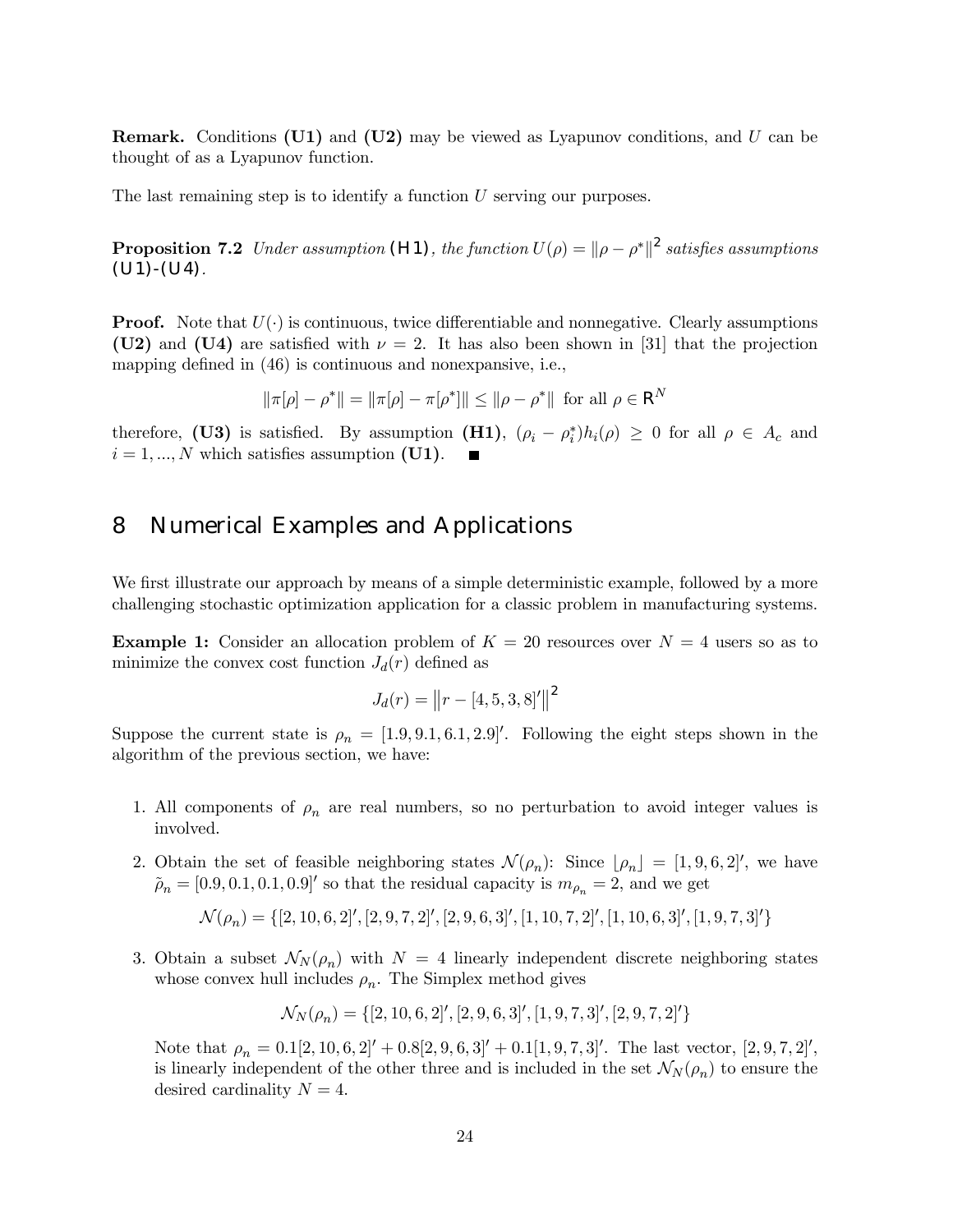**Remark.** Conditions (U1) and (U2) may be viewed as Lyapunov conditions, and U can be thought of as a Lyapunov function.

The last remaining step is to identify a function U serving our purposes.

**Proposition 7.2** Under assumption (H1), the function  $U(\rho) = ||\rho - \rho^*||^2$  satisfies assumptions  $(U1)$ - $(U4)$ .

**Proof.** Note that  $U(\cdot)$  is continuous, twice differentiable and nonnegative. Clearly assumptions (U2) and (U4) are satisfied with  $\nu = 2$ . It has also been shown in [31] that the projection mapping defined in (46) is continuous and nonexpansive, i.e.,

$$
\|\pi[\rho] - \rho^*\| = \|\pi[\rho] - \pi[\rho^*]\| \le \|\rho - \rho^*\| \text{ for all } \rho \in \mathsf{R}^N
$$

therefore, (U3) is satisfied. By assumption (H1),  $(\rho_i - \rho_i^*) h_i(\rho) \geq 0$  for all  $\rho \in A_c$  and  $i = 1, ..., N$  which satisfies assumption (U1).

## 8 Numerical Examples and Applications

We first illustrate our approach by means of a simple deterministic example, followed by a more challenging stochastic optimization application for a classic problem in manufacturing systems.

**Example 1:** Consider an allocation problem of  $K = 20$  resources over  $N = 4$  users so as to minimize the convex cost function  $J_d(r)$  defined as

$$
J_d(r) = ||r - [4, 5, 3, 8]'||^2
$$

Suppose the current state is  $\rho_n = [1.9, 9.1, 6.1, 2.9]$ . Following the eight steps shown in the algorithm of the previous section, we have:

- 1. All components of  $\rho_n$  are real numbers, so no perturbation to avoid integer values is involved.
- 2. Obtain the set of feasible neighboring states  $\mathcal{N}(\rho_n)$ : Since  $[\rho_n] = [1, 9, 6, 2]$ , we have  $\tilde{\rho}_n = [0.9, 0.1, 0.1, 0.9]$ ' so that the residual capacity is  $m_{\rho_n} = 2$ , and we get

$$
\mathcal{N}(\rho_n) = \{ [2, 10, 6, 2]', [2, 9, 7, 2]', [2, 9, 6, 3]', [1, 10, 7, 2]', [1, 10, 6, 3]', [1, 9, 7, 3]'\}
$$

3. Obtain a subset  $\mathcal{N}_N(\rho_n)$  with  $N = 4$  linearly independent discrete neighboring states whose convex hull includes  $\rho_n$ . The Simplex method gives

$$
\mathcal{N}_N(\rho_n) = \{ [2, 10, 6, 2]', [2, 9, 6, 3]', [1, 9, 7, 3]', [2, 9, 7, 2]'\}
$$

Note that  $\rho_n = 0.1[2, 10, 6, 2]'+0.8[2, 9, 6, 3]'+0.1[1, 9, 7, 3]'.$  The last vector,  $[2, 9, 7, 2]'.$ is linearly independent of the other three and is included in the set  $\mathcal{N}_N(\rho_n)$  to ensure the desired cardinality  $N = 4$ .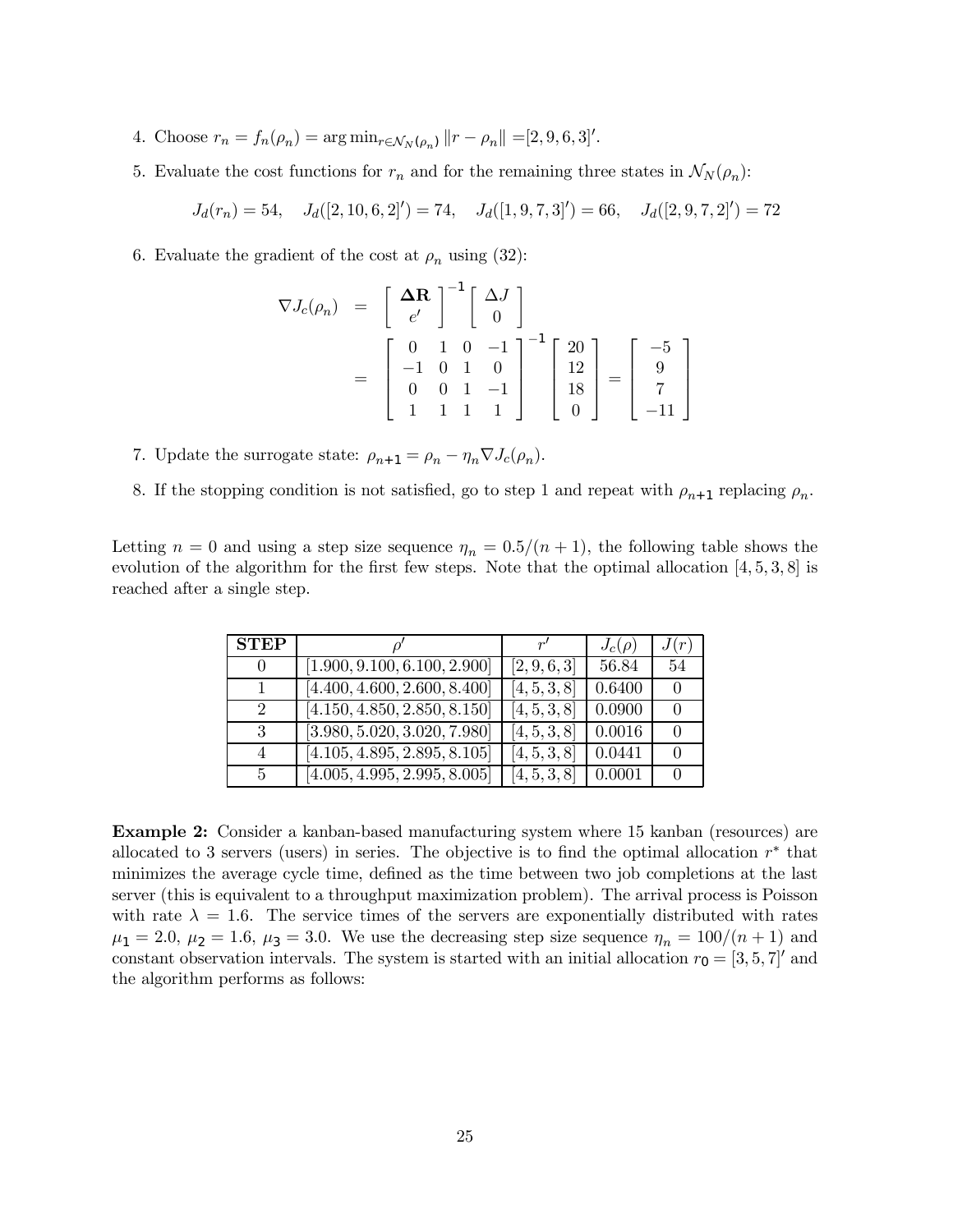- 4. Choose  $r_n = f_n(\rho_n) = \arg \min_{r \in \mathcal{N}_N(\rho_n)} ||r \rho_n|| = [2, 9, 6, 3]'.$
- 5. Evaluate the cost functions for  $r_n$  and for the remaining three states in  $\mathcal{N}_N(\rho_n)$ :

$$
J_d(r_n) = 54
$$
,  $J_d([2, 10, 6, 2]') = 74$ ,  $J_d([1, 9, 7, 3]') = 66$ ,  $J_d([2, 9, 7, 2]') = 72$ 

6. Evaluate the gradient of the cost at  $\rho_n$  using (32):

$$
\nabla J_c(\rho_n) = \begin{bmatrix} \Delta \mathbf{R} \\ e' \\ 0 \end{bmatrix}^{-1} \begin{bmatrix} \Delta J \\ 0 \\ 0 \end{bmatrix}
$$
  
= 
$$
\begin{bmatrix} 0 & 1 & 0 & -1 \\ -1 & 0 & 1 & 0 \\ 0 & 0 & 1 & -1 \\ 1 & 1 & 1 & 1 \end{bmatrix}^{-1} \begin{bmatrix} 20 \\ 12 \\ 18 \\ 0 \end{bmatrix} = \begin{bmatrix} -5 \\ 9 \\ 7 \\ -11 \end{bmatrix}
$$

- 7. Update the surrogate state:  $\rho_{n+1} = \rho_n \eta_n \nabla J_c(\rho_n)$ .
- 8. If the stopping condition is not satisfied, go to step 1 and repeat with  $\rho_{n+1}$  replacing  $\rho_n$ .

Letting  $n = 0$  and using a step size sequence  $\eta_n = 0.5/(n+1)$ , the following table shows the evolution of the algorithm for the first few steps. Note that the optimal allocation [4, 5, 3, 8] is reached after a single step.

| <b>STEP</b>                 |                                           | r'           | $J_c(\rho)$ | J(r)             |
|-----------------------------|-------------------------------------------|--------------|-------------|------------------|
| $\theta$                    | [1.900, 9.100, 6.100, 2.900]              | [2, 9, 6, 3] | 56.84       | 54               |
|                             | [4.400, 4.600, 2.600, 8.400]              | [4, 5, 3, 8] | 0.6400      | $\bigcap$        |
| $\mathcal{D}_{\mathcal{L}}$ | [4.150, 4.850, 2.850, 8.150]              | [4, 5, 3, 8] | 0.0900      | $\left( \right)$ |
| 3                           | $[3.980, 5.020, \overline{3.020, 7.980}]$ | [4, 5, 3, 8] | 0.0016      | $\bigcap$        |
| 4                           | [4.105, 4.895, 2.895, 8.105]              | [4, 5, 3, 8] | 0.0441      | $\left( \right)$ |
| 5                           | [4.005, 4.995, 2.995, 8.005]              | [4, 5, 3, 8] | 0.0001      |                  |

Example 2: Consider a kanban-based manufacturing system where 15 kanban (resources) are allocated to 3 servers (users) in series. The objective is to find the optimal allocation  $r^*$  that minimizes the average cycle time, defined as the time between two job completions at the last server (this is equivalent to a throughput maximization problem). The arrival process is Poisson with rate  $\lambda = 1.6$ . The service times of the servers are exponentially distributed with rates  $\mu_1 = 2.0, \mu_2 = 1.6, \mu_3 = 3.0.$  We use the decreasing step size sequence  $\eta_n = 100/(n+1)$  and constant observation intervals. The system is started with an initial allocation  $r_0 = [3, 5, 7]$  and the algorithm performs as follows: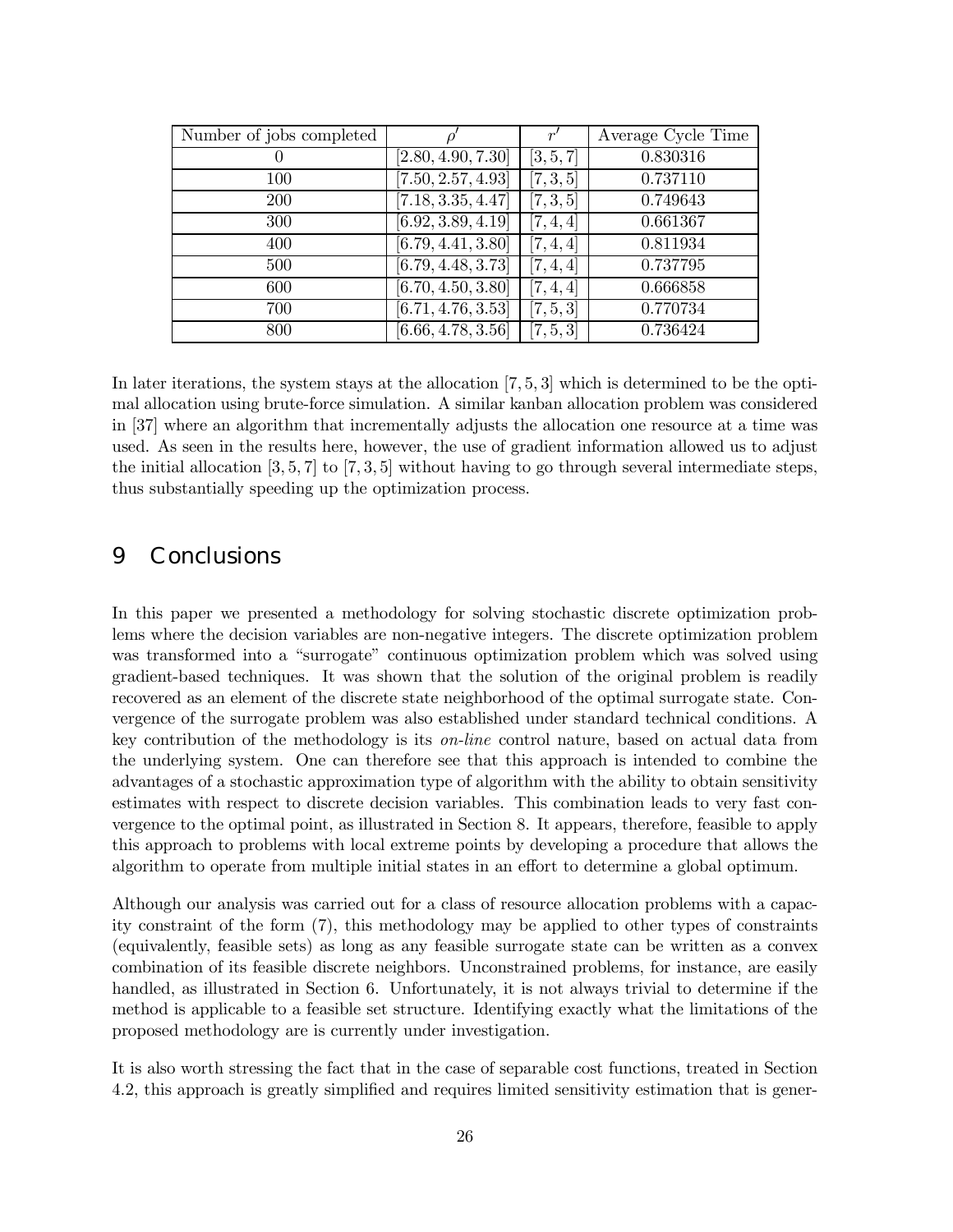| Number of jobs completed |                    | r'        | Average Cycle Time |
|--------------------------|--------------------|-----------|--------------------|
|                          | [2.80, 4.90, 7.30] | [3, 5, 7] | 0.830316           |
| 100                      | [7.50, 2.57, 4.93] | [7, 3, 5] | 0.737110           |
| 200                      | [7.18, 3.35, 4.47] | [7, 3, 5] | 0.749643           |
| 300                      | [6.92, 3.89, 4.19] | [7, 4, 4] | 0.661367           |
| 400                      | [6.79, 4.41, 3.80] | [7, 4, 4] | 0.811934           |
| 500                      | [6.79, 4.48, 3.73] | [7, 4, 4] | 0.737795           |
| 600                      | [6.70, 4.50, 3.80] | [7, 4, 4] | 0.666858           |
| 700                      | [6.71, 4.76, 3.53] | [7, 5, 3] | 0.770734           |
| 800                      | [6.66, 4.78, 3.56] | [7, 5, 3] | 0.736424           |

In later iterations, the system stays at the allocation [7, 5, 3] which is determined to be the optimal allocation using brute-force simulation. A similar kanban allocation problem was considered in [37] where an algorithm that incrementally adjusts the allocation one resource at a time was used. As seen in the results here, however, the use of gradient information allowed us to adjust the initial allocation  $[3, 5, 7]$  to  $[7, 3, 5]$  without having to go through several intermediate steps, thus substantially speeding up the optimization process.

#### 9 Conclusions

In this paper we presented a methodology for solving stochastic discrete optimization problems where the decision variables are non-negative integers. The discrete optimization problem was transformed into a "surrogate" continuous optimization problem which was solved using gradient-based techniques. It was shown that the solution of the original problem is readily recovered as an element of the discrete state neighborhood of the optimal surrogate state. Convergence of the surrogate problem was also established under standard technical conditions. A key contribution of the methodology is its on-line control nature, based on actual data from the underlying system. One can therefore see that this approach is intended to combine the advantages of a stochastic approximation type of algorithm with the ability to obtain sensitivity estimates with respect to discrete decision variables. This combination leads to very fast convergence to the optimal point, as illustrated in Section 8. It appears, therefore, feasible to apply this approach to problems with local extreme points by developing a procedure that allows the algorithm to operate from multiple initial states in an effort to determine a global optimum.

Although our analysis was carried out for a class of resource allocation problems with a capacity constraint of the form (7), this methodology may be applied to other types of constraints (equivalently, feasible sets) as long as any feasible surrogate state can be written as a convex combination of its feasible discrete neighbors. Unconstrained problems, for instance, are easily handled, as illustrated in Section 6. Unfortunately, it is not always trivial to determine if the method is applicable to a feasible set structure. Identifying exactly what the limitations of the proposed methodology are is currently under investigation.

It is also worth stressing the fact that in the case of separable cost functions, treated in Section 4.2, this approach is greatly simplified and requires limited sensitivity estimation that is gener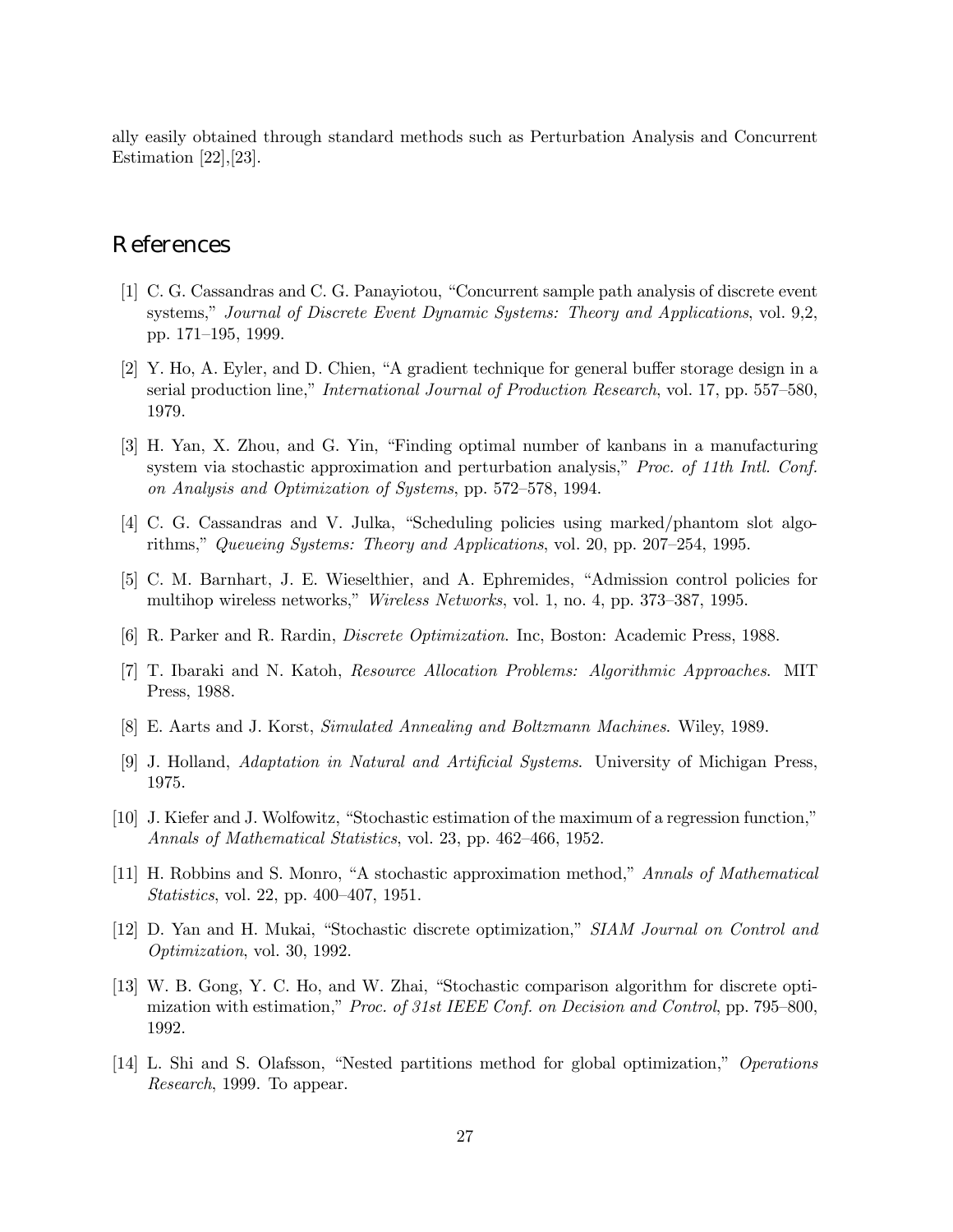ally easily obtained through standard methods such as Perturbation Analysis and Concurrent Estimation [22],[23].

#### References

- [1] C. G. Cassandras and C. G. Panayiotou, "Concurrent sample path analysis of discrete event systems," Journal of Discrete Event Dynamic Systems: Theory and Applications, vol. 9,2, pp. 171—195, 1999.
- [2] Y. Ho, A. Eyler, and D. Chien, "A gradient technique for general buffer storage design in a serial production line," International Journal of Production Research, vol. 17, pp. 557—580, 1979.
- [3] H. Yan, X. Zhou, and G. Yin, "Finding optimal number of kanbans in a manufacturing system via stochastic approximation and perturbation analysis," *Proc. of 11th Intl. Conf.* on Analysis and Optimization of Systems, pp. 572—578, 1994.
- [4] C. G. Cassandras and V. Julka, "Scheduling policies using marked/phantom slot algorithms," Queueing Systems: Theory and Applications, vol. 20, pp. 207—254, 1995.
- [5] C. M. Barnhart, J. E. Wieselthier, and A. Ephremides, "Admission control policies for multihop wireless networks," Wireless Networks, vol. 1, no. 4, pp. 373—387, 1995.
- [6] R. Parker and R. Rardin, Discrete Optimization. Inc, Boston: Academic Press, 1988.
- [7] T. Ibaraki and N. Katoh, Resource Allocation Problems: Algorithmic Approaches. MIT Press, 1988.
- [8] E. Aarts and J. Korst, Simulated Annealing and Boltzmann Machines. Wiley, 1989.
- [9] J. Holland, Adaptation in Natural and Artificial Systems. University of Michigan Press, 1975.
- [10] J. Kiefer and J. Wolfowitz, "Stochastic estimation of the maximum of a regression function," Annals of Mathematical Statistics, vol. 23, pp. 462—466, 1952.
- [11] H. Robbins and S. Monro, "A stochastic approximation method," Annals of Mathematical Statistics, vol. 22, pp. 400—407, 1951.
- [12] D. Yan and H. Mukai, "Stochastic discrete optimization," SIAM Journal on Control and Optimization, vol. 30, 1992.
- [13] W. B. Gong, Y. C. Ho, and W. Zhai, "Stochastic comparison algorithm for discrete optimization with estimation," Proc. of 31st IEEE Conf. on Decision and Control, pp. 795—800, 1992.
- [14] L. Shi and S. Olafsson, "Nested partitions method for global optimization," Operations Research, 1999. To appear.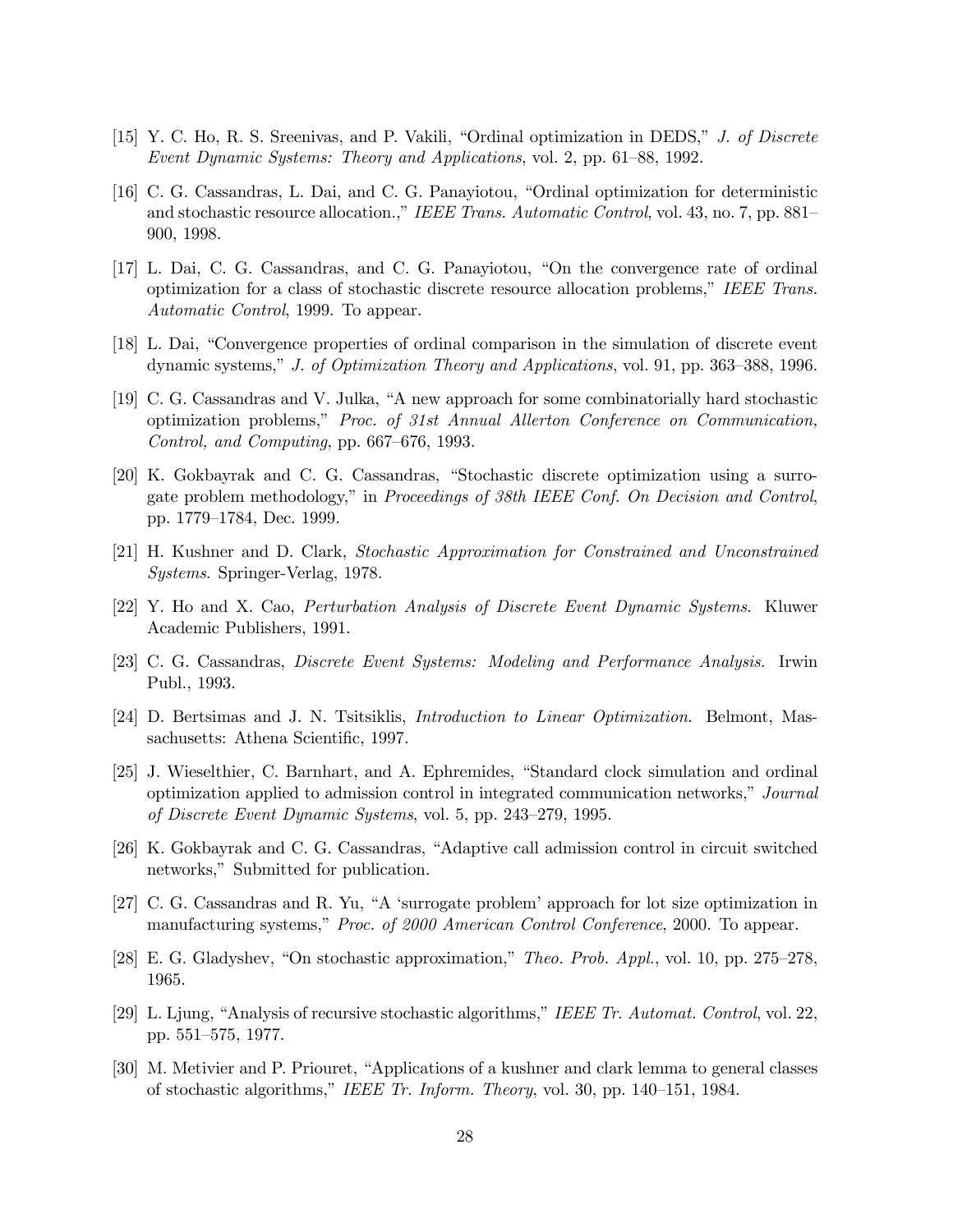- [15] Y. C. Ho, R. S. Sreenivas, and P. Vakili, "Ordinal optimization in DEDS," J. of Discrete Event Dynamic Systems: Theory and Applications, vol. 2, pp. 61—88, 1992.
- [16] C. G. Cassandras, L. Dai, and C. G. Panayiotou, "Ordinal optimization for deterministic and stochastic resource allocation.," IEEE Trans. Automatic Control, vol. 43, no. 7, pp. 881-900, 1998.
- [17] L. Dai, C. G. Cassandras, and C. G. Panayiotou, "On the convergence rate of ordinal optimization for a class of stochastic discrete resource allocation problems," IEEE Trans. Automatic Control, 1999. To appear.
- [18] L. Dai, "Convergence properties of ordinal comparison in the simulation of discrete event dynamic systems," J. of Optimization Theory and Applications, vol. 91, pp. 363—388, 1996.
- [19] C. G. Cassandras and V. Julka, "A new approach for some combinatorially hard stochastic optimization problems," Proc. of 31st Annual Allerton Conference on Communication, Control, and Computing, pp. 667—676, 1993.
- [20] K. Gokbayrak and C. G. Cassandras, "Stochastic discrete optimization using a surrogate problem methodology," in Proceedings of 38th IEEE Conf. On Decision and Control, pp. 1779—1784, Dec. 1999.
- [21] H. Kushner and D. Clark, Stochastic Approximation for Constrained and Unconstrained Systems. Springer-Verlag, 1978.
- [22] Y. Ho and X. Cao, Perturbation Analysis of Discrete Event Dynamic Systems. Kluwer Academic Publishers, 1991.
- [23] C. G. Cassandras, Discrete Event Systems: Modeling and Performance Analysis. Irwin Publ., 1993.
- [24] D. Bertsimas and J. N. Tsitsiklis, Introduction to Linear Optimization. Belmont, Massachusetts: Athena Scientific, 1997.
- [25] J. Wieselthier, C. Barnhart, and A. Ephremides, "Standard clock simulation and ordinal optimization applied to admission control in integrated communication networks," Journal of Discrete Event Dynamic Systems, vol. 5, pp. 243—279, 1995.
- [26] K. Gokbayrak and C. G. Cassandras, "Adaptive call admission control in circuit switched networks," Submitted for publication.
- [27] C. G. Cassandras and R. Yu, "A 'surrogate problem' approach for lot size optimization in manufacturing systems," Proc. of 2000 American Control Conference, 2000. To appear.
- [28] E. G. Gladyshev, "On stochastic approximation," Theo. Prob. Appl., vol. 10, pp. 275—278, 1965.
- [29] L. Ljung, "Analysis of recursive stochastic algorithms," IEEE Tr. Automat. Control, vol. 22, pp. 551—575, 1977.
- [30] M. Metivier and P. Priouret, "Applications of a kushner and clark lemma to general classes of stochastic algorithms," IEEE Tr. Inform. Theory, vol. 30, pp. 140—151, 1984.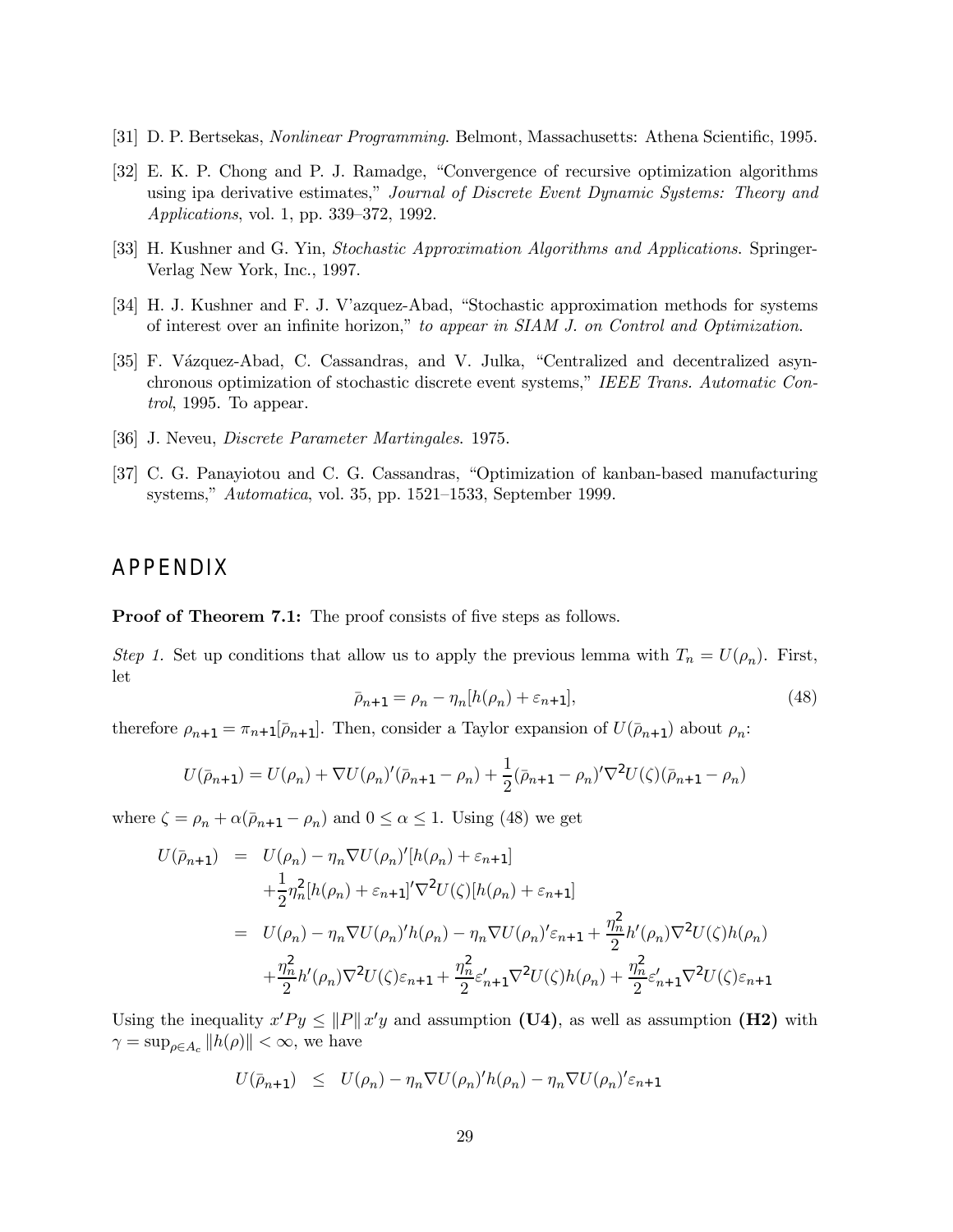- [31] D. P. Bertsekas, Nonlinear Programming. Belmont, Massachusetts: Athena Scientific, 1995.
- [32] E. K. P. Chong and P. J. Ramadge, "Convergence of recursive optimization algorithms using ipa derivative estimates," Journal of Discrete Event Dynamic Systems: Theory and Applications, vol. 1, pp. 339—372, 1992.
- [33] H. Kushner and G. Yin, Stochastic Approximation Algorithms and Applications. Springer-Verlag New York, Inc., 1997.
- [34] H. J. Kushner and F. J. V'azquez-Abad, "Stochastic approximation methods for systems of interest over an infinite horizon," to appear in SIAM J. on Control and Optimization.
- [35] F. Vázquez-Abad, C. Cassandras, and V. Julka, "Centralized and decentralized asynchronous optimization of stochastic discrete event systems," IEEE Trans. Automatic Control, 1995. To appear.
- [36] J. Neveu, Discrete Parameter Martingales. 1975.
- [37] C. G. Panayiotou and C. G. Cassandras, "Optimization of kanban-based manufacturing systems," Automatica, vol. 35, pp. 1521—1533, September 1999.

# APPENDIX

Proof of Theorem 7.1: The proof consists of five steps as follows.

Step 1. Set up conditions that allow us to apply the previous lemma with  $T_n = U(\rho_n)$ . First, let

$$
\bar{\rho}_{n+1} = \rho_n - \eta_n[h(\rho_n) + \varepsilon_{n+1}],\tag{48}
$$

therefore  $\rho_{n+1} = \pi_{n+1}[\bar{\rho}_{n+1}]$ . Then, consider a Taylor expansion of  $U(\bar{\rho}_{n+1})$  about  $\rho_n$ :

$$
U(\bar{\rho}_{n+1}) = U(\rho_n) + \nabla U(\rho_n)'(\bar{\rho}_{n+1} - \rho_n) + \frac{1}{2}(\bar{\rho}_{n+1} - \rho_n)' \nabla^2 U(\zeta)(\bar{\rho}_{n+1} - \rho_n)
$$

where  $\zeta = \rho_n + \alpha(\bar{\rho}_{n+1} - \rho_n)$  and  $0 \le \alpha \le 1$ . Using (48) we get

$$
U(\bar{\rho}_{n+1}) = U(\rho_n) - \eta_n \nabla U(\rho_n)'[h(\rho_n) + \varepsilon_{n+1}]
$$
  
+  $\frac{1}{2} \eta_n^2 [h(\rho_n) + \varepsilon_{n+1}]' \nabla^2 U(\zeta) [h(\rho_n) + \varepsilon_{n+1}]$   
=  $U(\rho_n) - \eta_n \nabla U(\rho_n)' h(\rho_n) - \eta_n \nabla U(\rho_n)' \varepsilon_{n+1} + \frac{\eta_n^2}{2} h'(\rho_n) \nabla^2 U(\zeta) h(\rho_n)$   
+  $\frac{\eta_n^2}{2} h'(\rho_n) \nabla^2 U(\zeta) \varepsilon_{n+1} + \frac{\eta_n^2}{2} \varepsilon'_{n+1} \nabla^2 U(\zeta) h(\rho_n) + \frac{\eta_n^2}{2} \varepsilon'_{n+1} \nabla^2 U(\zeta) \varepsilon_{n+1}$ 

Using the inequality  $x'Py \leq ||P|| x'y$  and assumption (U4), as well as assumption (H2) with  $\gamma = \sup_{\rho \in A_c} ||h(\rho)|| < \infty$ , we have

$$
U(\bar{\rho}_{n+1}) \leq U(\rho_n) - \eta_n \nabla U(\rho_n)' h(\rho_n) - \eta_n \nabla U(\rho_n)' \varepsilon_{n+1}
$$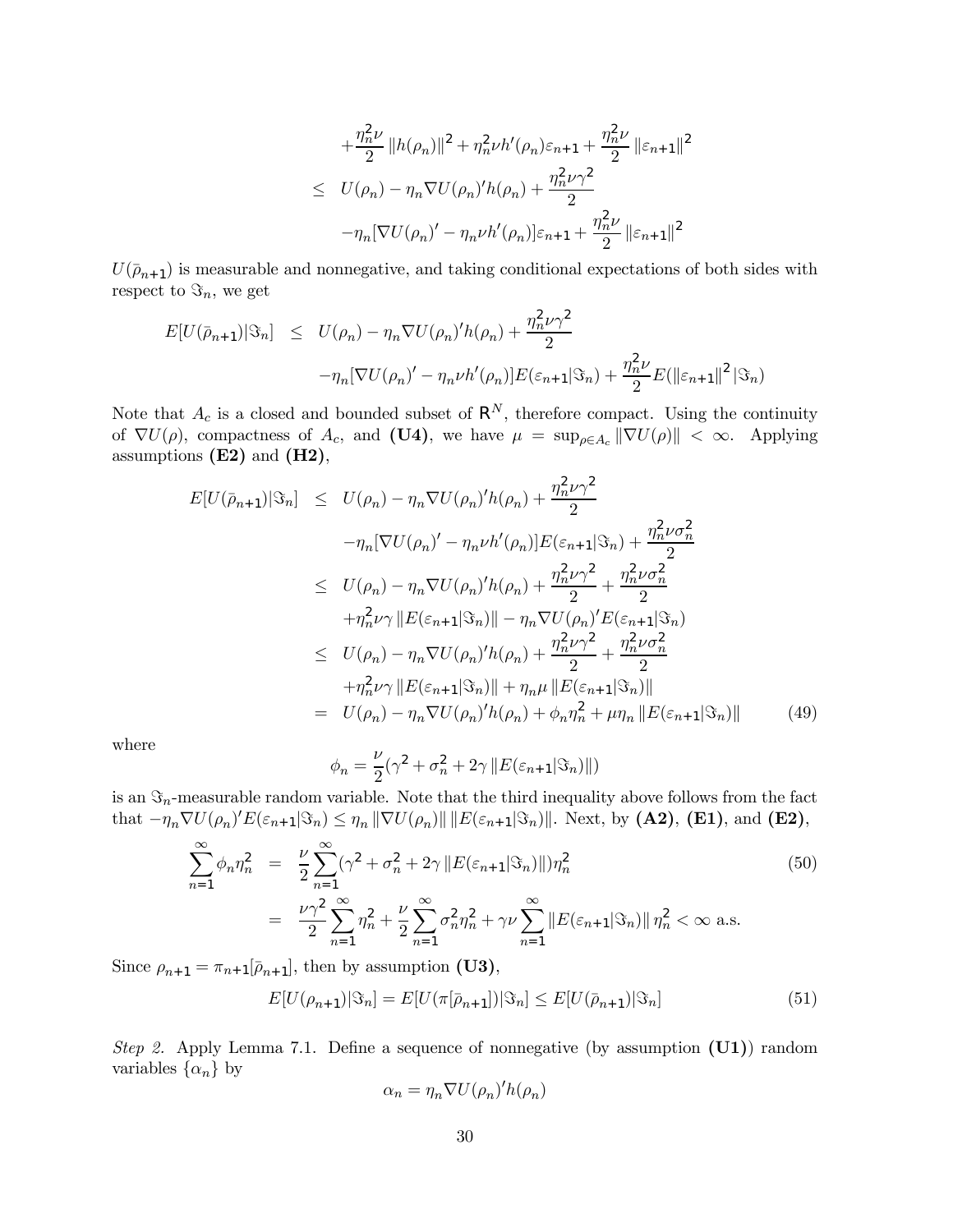$$
+ \frac{\eta_n^2 \nu}{2} ||h(\rho_n)||^2 + \eta_n^2 \nu h'(\rho_n) \varepsilon_{n+1} + \frac{\eta_n^2 \nu}{2} ||\varepsilon_{n+1}||^2
$$
  

$$
\leq U(\rho_n) - \eta_n \nabla U(\rho_n)' h(\rho_n) + \frac{\eta_n^2 \nu \gamma^2}{2}
$$
  

$$
- \eta_n [\nabla U(\rho_n)' - \eta_n \nu h'(\rho_n)] \varepsilon_{n+1} + \frac{\eta_n^2 \nu}{2} ||\varepsilon_{n+1}||^2
$$

 $U(\bar{\rho}_{n+1})$  is measurable and nonnegative, and taking conditional expectations of both sides with respect to  $\Im_n$ , we get

$$
E[U(\bar{\rho}_{n+1})|\Im_n] \leq U(\rho_n) - \eta_n \nabla U(\rho_n)' h(\rho_n) + \frac{\eta_n^2 \nu \gamma^2}{2}
$$

$$
-\eta_n [\nabla U(\rho_n)' - \eta_n \nu h'(\rho_n)] E(\varepsilon_{n+1}|\Im_n) + \frac{\eta_n^2 \nu}{2} E(||\varepsilon_{n+1}||^2 |\Im_n)
$$

Note that  $A_c$  is a closed and bounded subset of  $\mathsf{R}^N$ , therefore compact. Using the continuity of  $\nabla U(\rho)$ , compactness of  $A_c$ , and (U4), we have  $\mu = \sup_{\rho \in A_c} ||\nabla U(\rho)|| < \infty$ . Applying assumptions  $(E2)$  and  $(H2)$ ,

$$
E[U(\bar{\rho}_{n+1})|\Im_n] \leq U(\rho_n) - \eta_n \nabla U(\rho_n)' h(\rho_n) + \frac{\eta_n^2 \nu \gamma^2}{2}
$$
  
\n
$$
- \eta_n [\nabla U(\rho_n)' - \eta_n \nu h'(\rho_n)] E(\varepsilon_{n+1}|\Im_n) + \frac{\eta_n^2 \nu \sigma_n^2}{2}
$$
  
\n
$$
\leq U(\rho_n) - \eta_n \nabla U(\rho_n)' h(\rho_n) + \frac{\eta_n^2 \nu \gamma^2}{2} + \frac{\eta_n^2 \nu \sigma_n^2}{2}
$$
  
\n
$$
+ \eta_n^2 \nu \gamma ||E(\varepsilon_{n+1}|\Im_n) || - \eta_n \nabla U(\rho_n)' E(\varepsilon_{n+1}|\Im_n)
$$
  
\n
$$
\leq U(\rho_n) - \eta_n \nabla U(\rho_n)' h(\rho_n) + \frac{\eta_n^2 \nu \gamma^2}{2} + \frac{\eta_n^2 \nu \sigma_n^2}{2}
$$
  
\n
$$
+ \eta_n^2 \nu \gamma ||E(\varepsilon_{n+1}|\Im_n) || + \eta_n \mu ||E(\varepsilon_{n+1}|\Im_n) ||
$$
  
\n
$$
= U(\rho_n) - \eta_n \nabla U(\rho_n)' h(\rho_n) + \phi_n \eta_n^2 + \mu \eta_n ||E(\varepsilon_{n+1}|\Im_n) ||
$$
 (49)

where

$$
\phi_n = \frac{\nu}{2}(\gamma^2 + \sigma_n^2 + 2\gamma \left\|E(\varepsilon_{n+1}|\Im_n)\right\|)
$$

is an  $\Im_n$ -measurable random variable. Note that the third inequality above follows from the fact that  $-\eta_n \nabla U(\rho_n)' E(\varepsilon_{n+1}|\Im_n) \leq \eta_n \|\nabla U(\rho_n)\| \|E(\varepsilon_{n+1}|\Im_n)\|$ . Next, by (A2), (E1), and (E2),

$$
\sum_{n=1}^{\infty} \phi_n \eta_n^2 = \frac{\nu}{2} \sum_{n=1}^{\infty} (\gamma^2 + \sigma_n^2 + 2\gamma ||E(\varepsilon_{n+1}|\Im_n)||) \eta_n^2
$$
\n
$$
= \frac{\nu \gamma^2}{2} \sum_{n=1}^{\infty} \eta_n^2 + \frac{\nu}{2} \sum_{n=1}^{\infty} \sigma_n^2 \eta_n^2 + \gamma \nu \sum_{n=1}^{\infty} ||E(\varepsilon_{n+1}|\Im_n) || \eta_n^2 < \infty \text{ a.s.}
$$
\n(50)

Since  $\rho_{n+1} = \pi_{n+1}[\bar{\rho}_{n+1}],$  then by assumption (U3),

$$
E[U(\rho_{n+1})|\Im_n] = E[U(\pi[\bar{\rho}_{n+1}])|\Im_n] \le E[U(\bar{\rho}_{n+1})|\Im_n]
$$
\n(51)

Step 2. Apply Lemma 7.1. Define a sequence of nonnegative (by assumption  $(U1)$ ) random variables  $\{\alpha_n\}$  by

$$
\alpha_n = \eta_n \nabla U(\rho_n)' h(\rho_n)
$$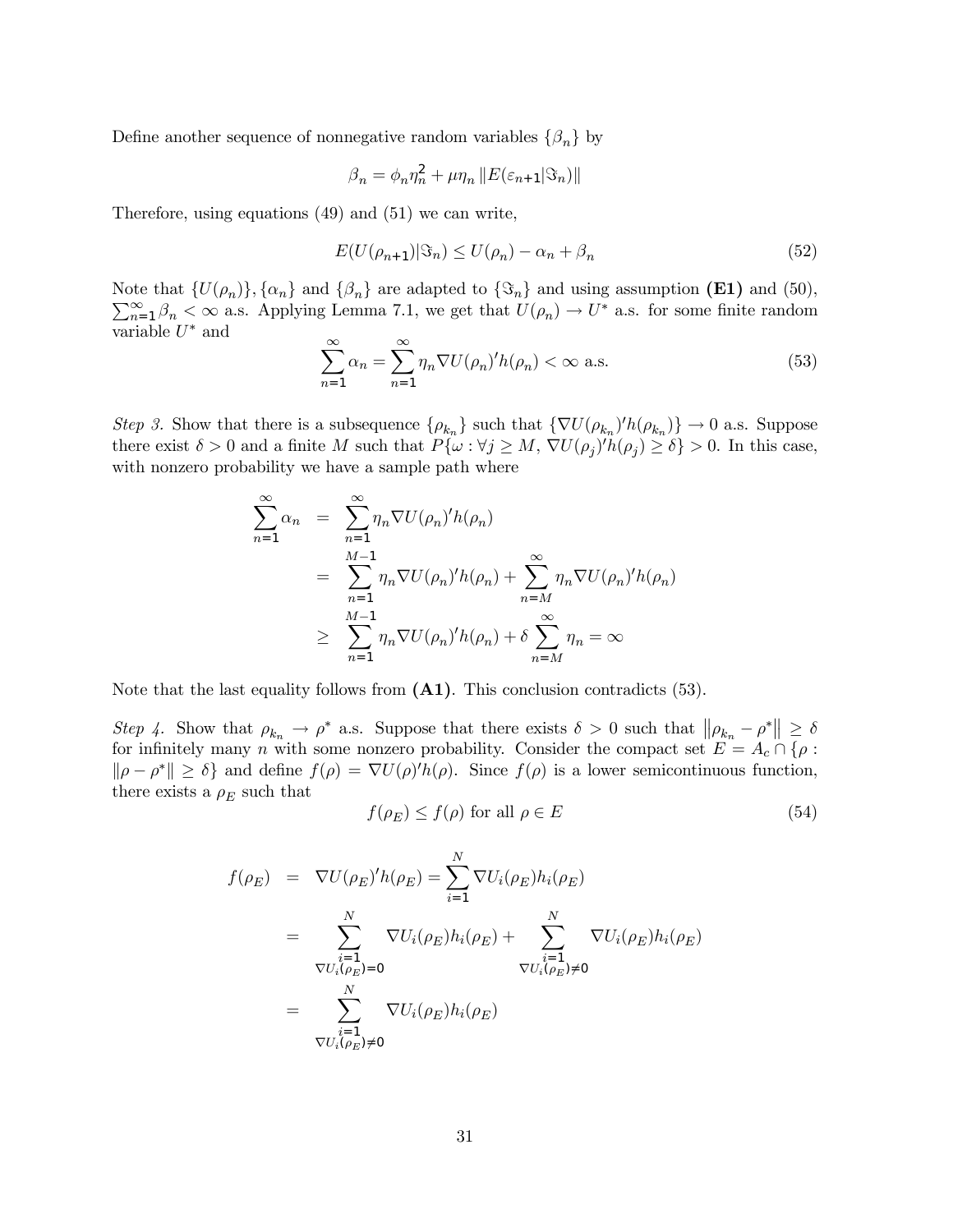Define another sequence of nonnegative random variables  $\{\beta_n\}$  by

$$
\beta_n = \phi_n \eta_n^2 + \mu \eta_n \left\| E(\varepsilon_{n+1}|\Im_n) \right\|
$$

Therefore, using equations (49) and (51) we can write,

$$
E(U(\rho_{n+1})|\mathfrak{S}_n) \le U(\rho_n) - \alpha_n + \beta_n \tag{52}
$$

Note that  $\{U(\rho_n)\}, \{\alpha_n\}$  and  $\{\beta_n\}$  are adapted to  $\{\mathfrak{S}_n\}$  and using assumption (E1) and (50),  $\sum_{n=1}^{\infty} \beta_n < \infty$  a.s. Applying Lemma 7.1, we get that  $U(\rho_n) \to U^*$  a.s. for some finite random Note that  $\{U(\rho_n)\}, \{\alpha_n\}$  and  $\{\beta_n\}$  are adapted to  $\{\mathfrak{S}_n\}$  and using assumption (E1) and (50), variable  $U^*$  and

$$
\sum_{n=1}^{\infty} \alpha_n = \sum_{n=1}^{\infty} \eta_n \nabla U(\rho_n)' h(\rho_n) < \infty \text{ a.s.} \tag{53}
$$

Step 3. Show that there is a subsequence  $\{\rho_{k_n}\}\$  such that  $\{\nabla U(\rho_{k_n})/h(\rho_{k_n})\}\to 0$  a.s. Suppose there exist  $\delta > 0$  and a finite M such that  $P\{\omega : \forall j \ge M, \nabla U(\rho_j)' h(\rho_j) \ge \delta\} > 0$ . In this case, with nonzero probability we have a sample path where

$$
\sum_{n=1}^{\infty} \alpha_n = \sum_{n=1}^{\infty} \eta_n \nabla U(\rho_n)' h(\rho_n)
$$
  
= 
$$
\sum_{n=1}^{M-1} \eta_n \nabla U(\rho_n)' h(\rho_n) + \sum_{n=M}^{\infty} \eta_n \nabla U(\rho_n)' h(\rho_n)
$$
  

$$
\geq \sum_{n=1}^{M-1} \eta_n \nabla U(\rho_n)' h(\rho_n) + \delta \sum_{n=M}^{\infty} \eta_n = \infty
$$

Note that the last equality follows from  $(A1)$ . This conclusion contradicts (53).

Step 4. Show that  $\rho_{k_n} \to \rho^*$  a.s. Suppose that there exists  $\delta > 0$  such that  $\|\rho_{k_n} - \rho^*\| \ge \delta$ for infinitely many n with some nonzero probability. Consider the compact set  $E = A_c \cap \{\rho :$  $\|\rho - \rho^*\| \ge \delta$  and define  $f(\rho) = \nabla U(\rho)' h(\rho)$ . Since  $f(\rho)$  is a lower semicontinuous function, there exists a  $\rho_E$  such that

$$
f(\rho_E) \le f(\rho) \text{ for all } \rho \in E
$$
\n<sup>(54)</sup>

$$
f(\rho_E) = \nabla U(\rho_E)' h(\rho_E) = \sum_{i=1}^N \nabla U_i(\rho_E) h_i(\rho_E)
$$
  
\n
$$
= \sum_{\substack{i=1 \ \nabla U_i(\rho_E) = 0}}^N \nabla U_i(\rho_E) h_i(\rho_E) + \sum_{\substack{i=1 \ \nabla U_i(\rho_E) \neq 0}}^N \nabla U_i(\rho_E) h_i(\rho_E)
$$
  
\n
$$
= \sum_{\substack{i=1 \ \nabla U_i(\rho_E) \neq 0}}^N \nabla U_i(\rho_E) h_i(\rho_E)
$$